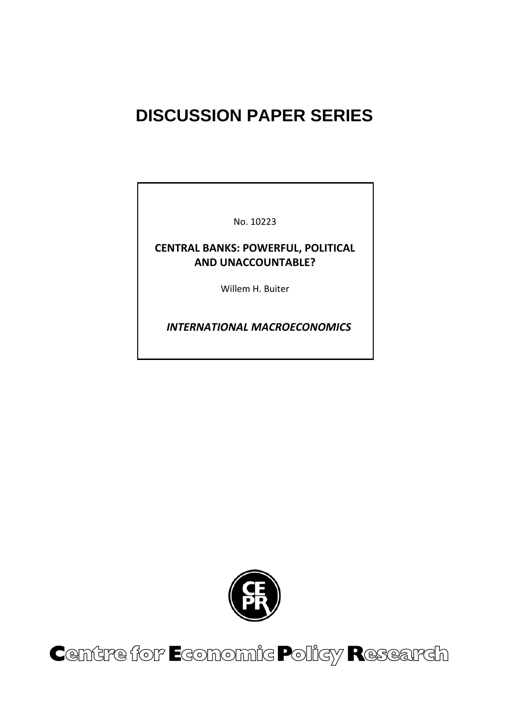# **DISCUSSION PAPER SERIES**

No. 10223

# **CENTRAL BANKS: POWERFUL, POLITICAL AND UNACCOUNTABLE?**

Willem H. Buiter

 *INTERNATIONAL MACROECONOMICS*



Centre for Economic Policy Research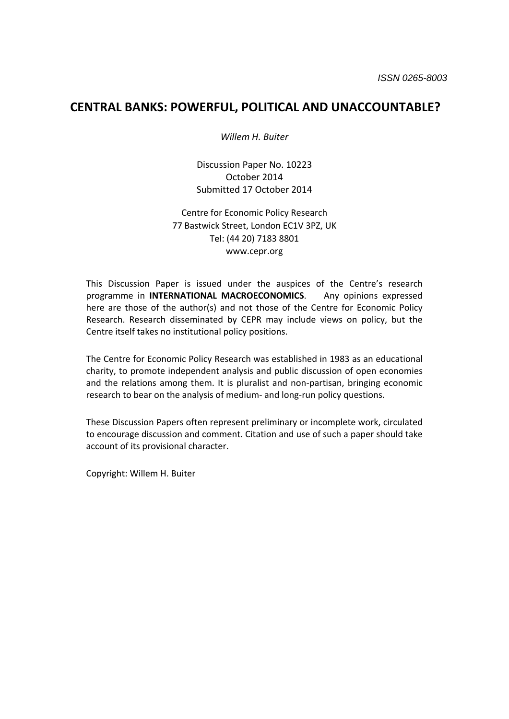## **CENTRAL BANKS: POWERFUL, POLITICAL AND UNACCOUNTABLE?**

*Willem H. Buiter*

Discussion Paper No. 10223 October 2014 Submitted 17 October 2014

Centre for Economic Policy Research 77 Bastwick Street, London EC1V 3PZ, UK Tel: (44 20) 7183 8801 www.cepr.org

This Discussion Paper is issued under the auspices of the Centre's research programme in **INTERNATIONAL MACROECONOMICS**. Any opinions expressed here are those of the author(s) and not those of the Centre for Economic Policy Research. Research disseminated by CEPR may include views on policy, but the Centre itself takes no institutional policy positions.

The Centre for Economic Policy Research was established in 1983 as an educational charity, to promote independent analysis and public discussion of open economies and the relations among them. It is pluralist and non-partisan, bringing economic research to bear on the analysis of medium‐ and long‐run policy questions.

These Discussion Papers often represent preliminary or incomplete work, circulated to encourage discussion and comment. Citation and use of such a paper should take account of its provisional character.

Copyright: Willem H. Buiter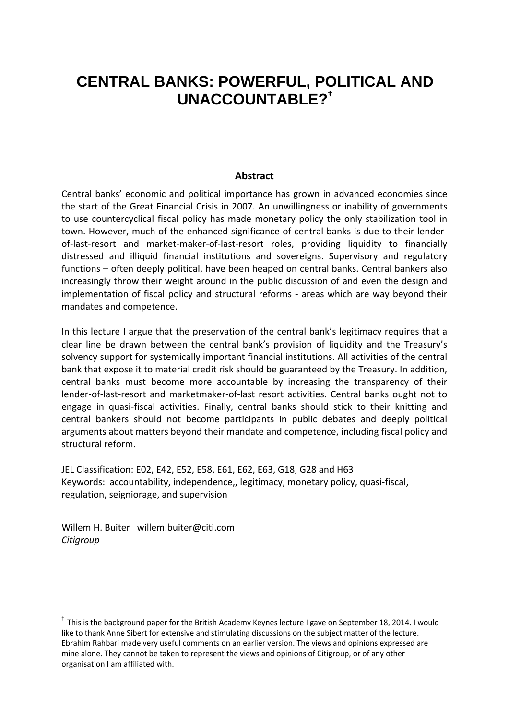# **CENTRAL BANKS: POWERFUL, POLITICAL AND UNACCOUNTABLE?†**

## **Abstract**

Central banks' economic and political importance has grown in advanced economies since the start of the Great Financial Crisis in 2007. An unwillingness or inability of governments to use countercyclical fiscal policy has made monetary policy the only stabilization tool in town. However, much of the enhanced significance of central banks is due to their lender‐ of-last-resort and market-maker-of-last-resort roles, providing liquidity to financially distressed and illiquid financial institutions and sovereigns. Supervisory and regulatory functions – often deeply political, have been heaped on central banks. Central bankers also increasingly throw their weight around in the public discussion of and even the design and implementation of fiscal policy and structural reforms - areas which are way beyond their mandates and competence.

In this lecture I argue that the preservation of the central bank's legitimacy requires that a clear line be drawn between the central bank's provision of liquidity and the Treasury's solvency support for systemically important financial institutions. All activities of the central bank that expose it to material credit risk should be guaranteed by the Treasury. In addition, central banks must become more accountable by increasing the transparency of their lender‐of‐last‐resort and marketmaker‐of‐last resort activities. Central banks ought not to engage in quasi-fiscal activities. Finally, central banks should stick to their knitting and central bankers should not become participants in public debates and deeply political arguments about matters beyond their mandate and competence, including fiscal policy and structural reform.

JEL Classification: E02, E42, E52, E58, E61, E62, E63, G18, G28 and H63 Keywords: accountability, independence,, legitimacy, monetary policy, quasi‐fiscal, regulation, seigniorage, and supervision

Willem H. Buiter willem.buiter@citi.com *Citigroup*

-

<sup>†</sup> This is the background paper for the British Academy Keynes lecture I gave on September 18, 2014. I would like to thank Anne Sibert for extensive and stimulating discussions on the subject matter of the lecture. Ebrahim Rahbari made very useful comments on an earlier version. The views and opinions expressed are mine alone. They cannot be taken to represent the views and opinions of Citigroup, or of any other organisation I am affiliated with.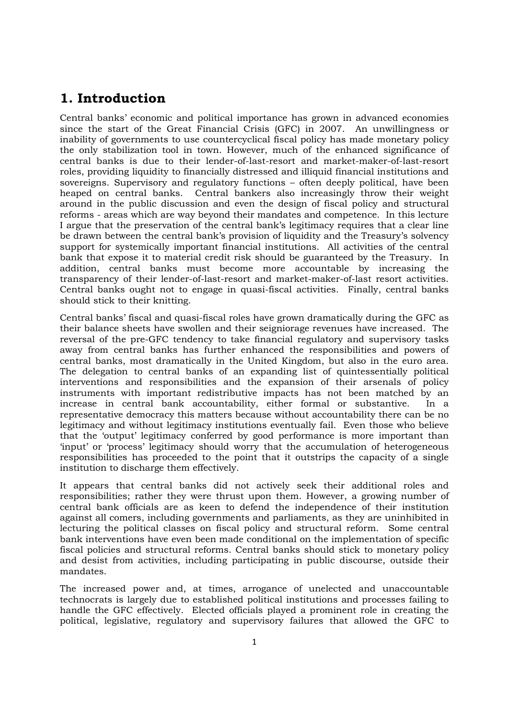# **1. Introduction**

Central banks' economic and political importance has grown in advanced economies since the start of the Great Financial Crisis (GFC) in 2007. An unwillingness or inability of governments to use countercyclical fiscal policy has made monetary policy the only stabilization tool in town. However, much of the enhanced significance of central banks is due to their lender-of-last-resort and market-maker-of-last-resort roles, providing liquidity to financially distressed and illiquid financial institutions and sovereigns. Supervisory and regulatory functions – often deeply political, have been heaped on central banks. Central bankers also increasingly throw their weight around in the public discussion and even the design of fiscal policy and structural reforms - areas which are way beyond their mandates and competence. In this lecture I argue that the preservation of the central bank's legitimacy requires that a clear line be drawn between the central bank's provision of liquidity and the Treasury's solvency support for systemically important financial institutions. All activities of the central bank that expose it to material credit risk should be guaranteed by the Treasury. In addition, central banks must become more accountable by increasing the transparency of their lender-of-last-resort and market-maker-of-last resort activities. Central banks ought not to engage in quasi-fiscal activities. Finally, central banks should stick to their knitting.

Central banks' fiscal and quasi-fiscal roles have grown dramatically during the GFC as their balance sheets have swollen and their seigniorage revenues have increased. The reversal of the pre-GFC tendency to take financial regulatory and supervisory tasks away from central banks has further enhanced the responsibilities and powers of central banks, most dramatically in the United Kingdom, but also in the euro area. The delegation to central banks of an expanding list of quintessentially political interventions and responsibilities and the expansion of their arsenals of policy instruments with important redistributive impacts has not been matched by an increase in central bank accountability, either formal or substantive. In a representative democracy this matters because without accountability there can be no legitimacy and without legitimacy institutions eventually fail. Even those who believe that the 'output' legitimacy conferred by good performance is more important than 'input' or 'process' legitimacy should worry that the accumulation of heterogeneous responsibilities has proceeded to the point that it outstrips the capacity of a single institution to discharge them effectively.

It appears that central banks did not actively seek their additional roles and responsibilities; rather they were thrust upon them. However, a growing number of central bank officials are as keen to defend the independence of their institution against all comers, including governments and parliaments, as they are uninhibited in lecturing the political classes on fiscal policy and structural reform. Some central bank interventions have even been made conditional on the implementation of specific fiscal policies and structural reforms. Central banks should stick to monetary policy and desist from activities, including participating in public discourse, outside their mandates.

The increased power and, at times, arrogance of unelected and unaccountable technocrats is largely due to established political institutions and processes failing to handle the GFC effectively. Elected officials played a prominent role in creating the political, legislative, regulatory and supervisory failures that allowed the GFC to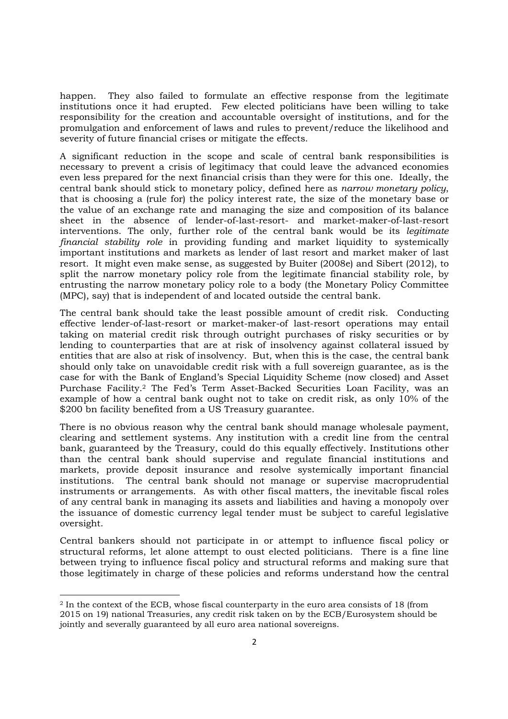happen. They also failed to formulate an effective response from the legitimate institutions once it had erupted. Few elected politicians have been willing to take responsibility for the creation and accountable oversight of institutions, and for the promulgation and enforcement of laws and rules to prevent/reduce the likelihood and severity of future financial crises or mitigate the effects.

A significant reduction in the scope and scale of central bank responsibilities is necessary to prevent a crisis of legitimacy that could leave the advanced economies even less prepared for the next financial crisis than they were for this one. Ideally, the central bank should stick to monetary policy, defined here as *narrow monetary policy*, that is choosing a (rule for) the policy interest rate, the size of the monetary base or the value of an exchange rate and managing the size and composition of its balance sheet in the absence of lender-of-last-resort- and market-maker-of-last-resort interventions. The only, further role of the central bank would be its *legitimate financial stability role* in providing funding and market liquidity to systemically important institutions and markets as lender of last resort and market maker of last resort. It might even make sense, as suggested by Buiter (2008e) and Sibert (2012), to split the narrow monetary policy role from the legitimate financial stability role, by entrusting the narrow monetary policy role to a body (the Monetary Policy Committee (MPC), say) that is independent of and located outside the central bank.

The central bank should take the least possible amount of credit risk. Conducting effective lender-of-last-resort or market-maker-of last-resort operations may entail taking on material credit risk through outright purchases of risky securities or by lending to counterparties that are at risk of insolvency against collateral issued by entities that are also at risk of insolvency. But, when this is the case, the central bank should only take on unavoidable credit risk with a full sovereign guarantee, as is the case for with the Bank of England's Special Liquidity Scheme (now closed) and Asset Purchase Facility.2 The Fed's Term Asset-Backed Securities Loan Facility, was an example of how a central bank ought not to take on credit risk, as only 10% of the \$200 bn facility benefited from a US Treasury guarantee.

There is no obvious reason why the central bank should manage wholesale payment, clearing and settlement systems. Any institution with a credit line from the central bank, guaranteed by the Treasury, could do this equally effectively. Institutions other than the central bank should supervise and regulate financial institutions and markets, provide deposit insurance and resolve systemically important financial institutions. The central bank should not manage or supervise macroprudential instruments or arrangements. As with other fiscal matters, the inevitable fiscal roles of any central bank in managing its assets and liabilities and having a monopoly over the issuance of domestic currency legal tender must be subject to careful legislative oversight.

Central bankers should not participate in or attempt to influence fiscal policy or structural reforms, let alone attempt to oust elected politicians. There is a fine line between trying to influence fiscal policy and structural reforms and making sure that those legitimately in charge of these policies and reforms understand how the central

<u>.</u>

<sup>&</sup>lt;sup>2</sup> In the context of the ECB, whose fiscal counterparty in the euro area consists of 18 (from 2015 on 19) national Treasuries, any credit risk taken on by the ECB/Eurosystem should be jointly and severally guaranteed by all euro area national sovereigns.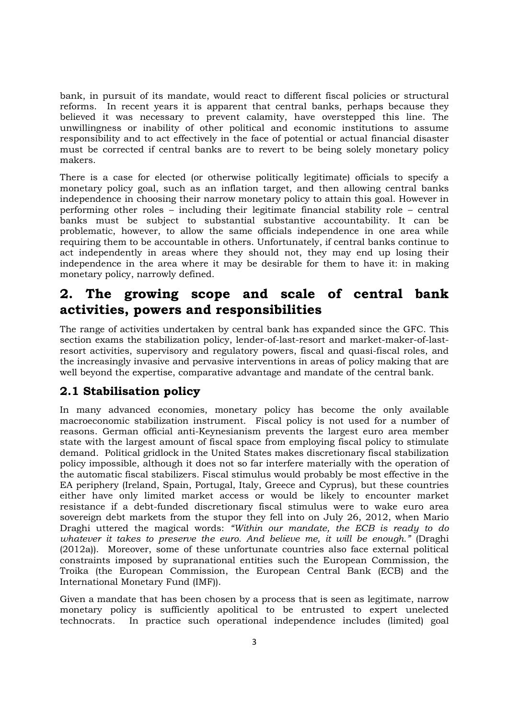bank, in pursuit of its mandate, would react to different fiscal policies or structural reforms. In recent years it is apparent that central banks, perhaps because they believed it was necessary to prevent calamity, have overstepped this line. The unwillingness or inability of other political and economic institutions to assume responsibility and to act effectively in the face of potential or actual financial disaster must be corrected if central banks are to revert to be being solely monetary policy makers.

There is a case for elected (or otherwise politically legitimate) officials to specify a monetary policy goal, such as an inflation target, and then allowing central banks independence in choosing their narrow monetary policy to attain this goal. However in performing other roles – including their legitimate financial stability role – central banks must be subject to substantial substantive accountability. It can be problematic, however, to allow the same officials independence in one area while requiring them to be accountable in others. Unfortunately, if central banks continue to act independently in areas where they should not, they may end up losing their independence in the area where it may be desirable for them to have it: in making monetary policy, narrowly defined.

# **2. The growing scope and scale of central bank activities, powers and responsibilities**

The range of activities undertaken by central bank has expanded since the GFC. This section exams the stabilization policy, lender-of-last-resort and market-maker-of-lastresort activities, supervisory and regulatory powers, fiscal and quasi-fiscal roles, and the increasingly invasive and pervasive interventions in areas of policy making that are well beyond the expertise, comparative advantage and mandate of the central bank.

# **2.1 Stabilisation policy**

In many advanced economies, monetary policy has become the only available macroeconomic stabilization instrument. Fiscal policy is not used for a number of reasons. German official anti-Keynesianism prevents the largest euro area member state with the largest amount of fiscal space from employing fiscal policy to stimulate demand. Political gridlock in the United States makes discretionary fiscal stabilization policy impossible, although it does not so far interfere materially with the operation of the automatic fiscal stabilizers. Fiscal stimulus would probably be most effective in the EA periphery (Ireland, Spain, Portugal, Italy, Greece and Cyprus), but these countries either have only limited market access or would be likely to encounter market resistance if a debt-funded discretionary fiscal stimulus were to wake euro area sovereign debt markets from the stupor they fell into on July 26, 2012, when Mario Draghi uttered the magical words: *"Within our mandate, the ECB is ready to do whatever it takes to preserve the euro. And believe me, it will be enough."* (Draghi (2012a)). Moreover, some of these unfortunate countries also face external political constraints imposed by supranational entities such the European Commission, the Troika (the European Commission, the European Central Bank (ECB) and the International Monetary Fund (IMF)).

Given a mandate that has been chosen by a process that is seen as legitimate, narrow monetary policy is sufficiently apolitical to be entrusted to expert unelected technocrats. In practice such operational independence includes (limited) goal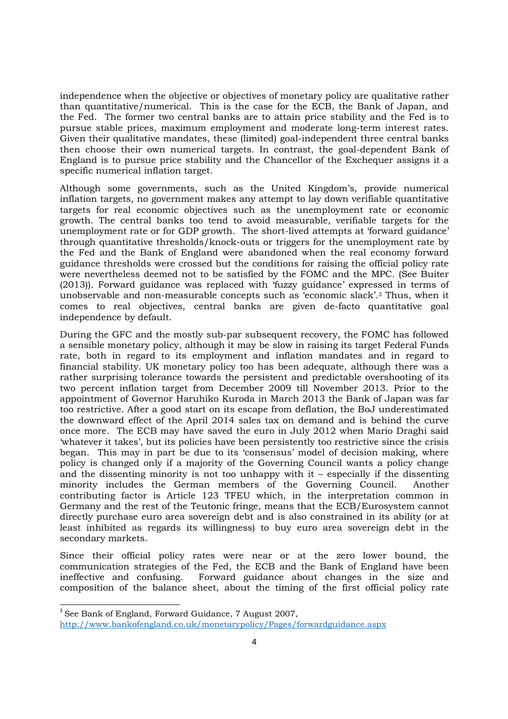independence when the objective or objectives of monetary policy are qualitative rather than quantitative/numerical. This is the case for the ECB, the Bank of Japan, and the Fed. The former two central banks are to attain price stability and the Fed is to pursue stable prices, maximum employment and moderate long-term interest rates. Given their qualitative mandates, these (limited) goal-independent three central banks then choose their own numerical targets. In contrast, the goal-dependent Bank of England is to pursue price stability and the Chancellor of the Exchequer assigns it a specific numerical inflation target.

Although some governments, such as the United Kingdom's, provide numerical inflation targets, no government makes any attempt to lay down verifiable quantitative targets for real economic objectives such as the unemployment rate or economic growth. The central banks too tend to avoid measurable, verifiable targets for the unemployment rate or for GDP growth. The short-lived attempts at 'forward guidance' through quantitative thresholds/knock-outs or triggers for the unemployment rate by the Fed and the Bank of England were abandoned when the real economy forward guidance thresholds were crossed but the conditions for raising the official policy rate were nevertheless deemed not to be satisfied by the FOMC and the MPC. (See Buiter (2013)). Forward guidance was replaced with 'fuzzy guidance' expressed in terms of unobservable and non-measurable concepts such as 'economic slack'.3 Thus, when it comes to real objectives, central banks are given de-facto quantitative goal independence by default.

During the GFC and the mostly sub-par subsequent recovery, the FOMC has followed a sensible monetary policy, although it may be slow in raising its target Federal Funds rate, both in regard to its employment and inflation mandates and in regard to financial stability. UK monetary policy too has been adequate, although there was a rather surprising tolerance towards the persistent and predictable overshooting of its two percent inflation target from December 2009 till November 2013. Prior to the appointment of Governor Haruhiko Kuroda in March 2013 the Bank of Japan was far too restrictive. After a good start on its escape from deflation, the BoJ underestimated the downward effect of the April 2014 sales tax on demand and is behind the curve once more. The ECB may have saved the euro in July 2012 when Mario Draghi said 'whatever it takes', but its policies have been persistently too restrictive since the crisis began. This may in part be due to its 'consensus' model of decision making, where policy is changed only if a majority of the Governing Council wants a policy change and the dissenting minority is not too unhappy with  $\mathbf{i}$  – especially if the dissenting minority includes the German members of the Governing Council. Another contributing factor is Article 123 TFEU which, in the interpretation common in Germany and the rest of the Teutonic fringe, means that the ECB/Eurosystem cannot directly purchase euro area sovereign debt and is also constrained in its ability (or at least inhibited as regards its willingness) to buy euro area sovereign debt in the secondary markets.

Since their official policy rates were near or at the zero lower bound, the communication strategies of the Fed, the ECB and the Bank of England have been ineffective and confusing. Forward guidance about changes in the size and composition of the balance sheet, about the timing of the first official policy rate

<u>.</u>

<sup>&</sup>lt;sup>3</sup> See Bank of England, Forward Guidance, 7 August 2007, http://www.bankofengland.co.uk/monetarypolicy/Pages/forwardguidance.aspx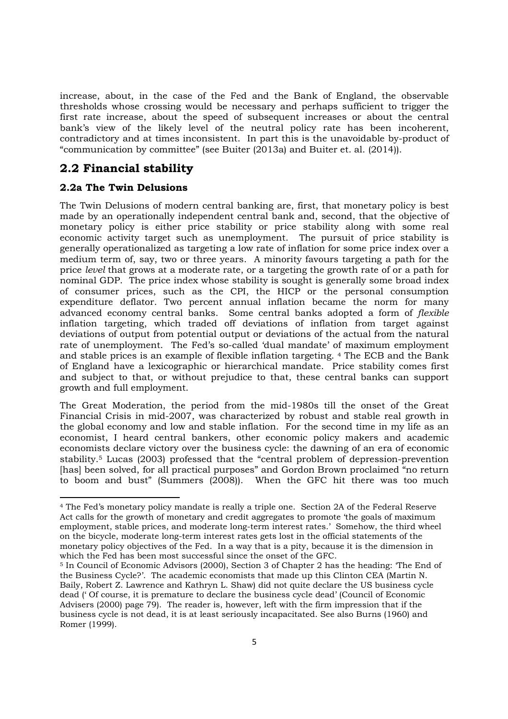increase, about, in the case of the Fed and the Bank of England, the observable thresholds whose crossing would be necessary and perhaps sufficient to trigger the first rate increase, about the speed of subsequent increases or about the central bank's view of the likely level of the neutral policy rate has been incoherent, contradictory and at times inconsistent. In part this is the unavoidable by-product of "communication by committee" (see Buiter (2013a) and Buiter et. al. (2014)).

# **2.2 Financial stability**

## **2.2a The Twin Delusions**

<u>.</u>

The Twin Delusions of modern central banking are, first, that monetary policy is best made by an operationally independent central bank and, second, that the objective of monetary policy is either price stability or price stability along with some real economic activity target such as unemployment. The pursuit of price stability is generally operationalized as targeting a low rate of inflation for some price index over a medium term of, say, two or three years. A minority favours targeting a path for the price *level* that grows at a moderate rate, or a targeting the growth rate of or a path for nominal GDP. The price index whose stability is sought is generally some broad index of consumer prices, such as the CPI, the HICP or the personal consumption expenditure deflator. Two percent annual inflation became the norm for many advanced economy central banks. Some central banks adopted a form of *flexible* inflation targeting, which traded off deviations of inflation from target against deviations of output from potential output or deviations of the actual from the natural rate of unemployment. The Fed's so-called 'dual mandate' of maximum employment and stable prices is an example of flexible inflation targeting. 4 The ECB and the Bank of England have a lexicographic or hierarchical mandate. Price stability comes first and subject to that, or without prejudice to that, these central banks can support growth and full employment.

The Great Moderation, the period from the mid-1980s till the onset of the Great Financial Crisis in mid-2007, was characterized by robust and stable real growth in the global economy and low and stable inflation. For the second time in my life as an economist, I heard central bankers, other economic policy makers and academic economists declare victory over the business cycle: the dawning of an era of economic stability.5 Lucas (2003) professed that the "central problem of depression-prevention [has] been solved, for all practical purposes" and Gordon Brown proclaimed "no return to boom and bust" (Summers (2008)). When the GFC hit there was too much

<sup>4</sup> The Fed's monetary policy mandate is really a triple one. Section 2A of the Federal Reserve Act calls for the growth of monetary and credit aggregates to promote 'the goals of maximum employment, stable prices, and moderate long-term interest rates.' Somehow, the third wheel on the bicycle, moderate long-term interest rates gets lost in the official statements of the monetary policy objectives of the Fed. In a way that is a pity, because it is the dimension in which the Fed has been most successful since the onset of the GFC.

<sup>5</sup> In Council of Economic Advisors (2000), Section 3 of Chapter 2 has the heading: 'The End of the Business Cycle?'. The academic economists that made up this Clinton CEA (Martin N. Baily, Robert Z. Lawrence and Kathryn L. Shaw) did not quite declare the US business cycle dead (' Of course, it is premature to declare the business cycle dead' (Council of Economic Advisers (2000) page 79). The reader is, however, left with the firm impression that if the business cycle is not dead, it is at least seriously incapacitated. See also Burns (1960) and Romer (1999).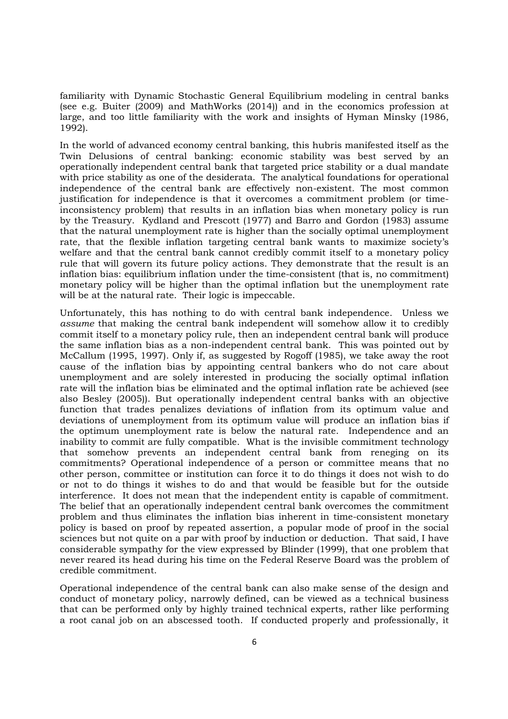familiarity with Dynamic Stochastic General Equilibrium modeling in central banks (see e.g. Buiter (2009) and MathWorks (2014)) and in the economics profession at large, and too little familiarity with the work and insights of Hyman Minsky (1986, 1992).

In the world of advanced economy central banking, this hubris manifested itself as the Twin Delusions of central banking: economic stability was best served by an operationally independent central bank that targeted price stability or a dual mandate with price stability as one of the desiderata. The analytical foundations for operational independence of the central bank are effectively non-existent. The most common justification for independence is that it overcomes a commitment problem (or timeinconsistency problem) that results in an inflation bias when monetary policy is run by the Treasury. Kydland and Prescott (1977) and Barro and Gordon (1983) assume that the natural unemployment rate is higher than the socially optimal unemployment rate, that the flexible inflation targeting central bank wants to maximize society's welfare and that the central bank cannot credibly commit itself to a monetary policy rule that will govern its future policy actions. They demonstrate that the result is an inflation bias: equilibrium inflation under the time-consistent (that is, no commitment) monetary policy will be higher than the optimal inflation but the unemployment rate will be at the natural rate. Their logic is impeccable.

Unfortunately, this has nothing to do with central bank independence. Unless we *assume* that making the central bank independent will somehow allow it to credibly commit itself to a monetary policy rule, then an independent central bank will produce the same inflation bias as a non-independent central bank. This was pointed out by McCallum (1995, 1997). Only if, as suggested by Rogoff (1985), we take away the root cause of the inflation bias by appointing central bankers who do not care about unemployment and are solely interested in producing the socially optimal inflation rate will the inflation bias be eliminated and the optimal inflation rate be achieved (see also Besley (2005)). But operationally independent central banks with an objective function that trades penalizes deviations of inflation from its optimum value and deviations of unemployment from its optimum value will produce an inflation bias if the optimum unemployment rate is below the natural rate. Independence and an inability to commit are fully compatible. What is the invisible commitment technology that somehow prevents an independent central bank from reneging on its commitments? Operational independence of a person or committee means that no other person, committee or institution can force it to do things it does not wish to do or not to do things it wishes to do and that would be feasible but for the outside interference. It does not mean that the independent entity is capable of commitment. The belief that an operationally independent central bank overcomes the commitment problem and thus eliminates the inflation bias inherent in time-consistent monetary policy is based on proof by repeated assertion, a popular mode of proof in the social sciences but not quite on a par with proof by induction or deduction. That said, I have considerable sympathy for the view expressed by Blinder (1999), that one problem that never reared its head during his time on the Federal Reserve Board was the problem of credible commitment.

Operational independence of the central bank can also make sense of the design and conduct of monetary policy, narrowly defined, can be viewed as a technical business that can be performed only by highly trained technical experts, rather like performing a root canal job on an abscessed tooth. If conducted properly and professionally, it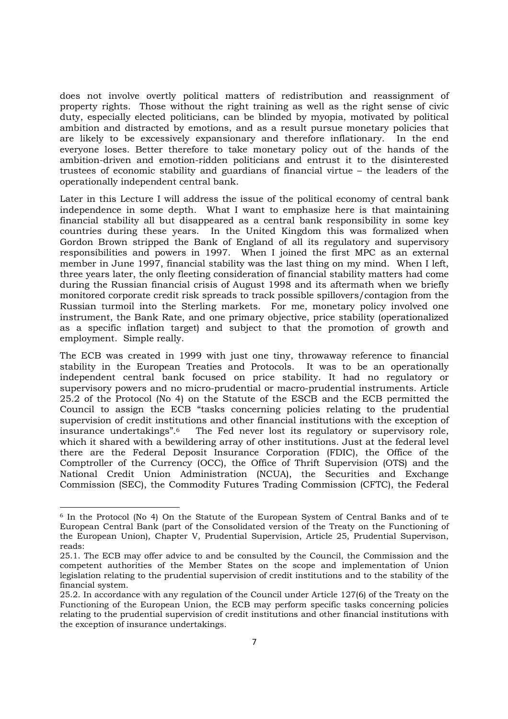does not involve overtly political matters of redistribution and reassignment of property rights. Those without the right training as well as the right sense of civic duty, especially elected politicians, can be blinded by myopia, motivated by political ambition and distracted by emotions, and as a result pursue monetary policies that are likely to be excessively expansionary and therefore inflationary. In the end everyone loses. Better therefore to take monetary policy out of the hands of the ambition-driven and emotion-ridden politicians and entrust it to the disinterested trustees of economic stability and guardians of financial virtue – the leaders of the operationally independent central bank.

Later in this Lecture I will address the issue of the political economy of central bank independence in some depth. What I want to emphasize here is that maintaining financial stability all but disappeared as a central bank responsibility in some key countries during these years. In the United Kingdom this was formalized when Gordon Brown stripped the Bank of England of all its regulatory and supervisory responsibilities and powers in 1997. When I joined the first MPC as an external member in June 1997, financial stability was the last thing on my mind. When I left, three years later, the only fleeting consideration of financial stability matters had come during the Russian financial crisis of August 1998 and its aftermath when we briefly monitored corporate credit risk spreads to track possible spillovers/contagion from the Russian turmoil into the Sterling markets. For me, monetary policy involved one instrument, the Bank Rate, and one primary objective, price stability (operationalized as a specific inflation target) and subject to that the promotion of growth and employment. Simple really.

The ECB was created in 1999 with just one tiny, throwaway reference to financial stability in the European Treaties and Protocols. It was to be an operationally independent central bank focused on price stability. It had no regulatory or supervisory powers and no micro-prudential or macro-prudential instruments. Article 25.2 of the Protocol (No 4) on the Statute of the ESCB and the ECB permitted the Council to assign the ECB "tasks concerning policies relating to the prudential supervision of credit institutions and other financial institutions with the exception of insurance undertakings".6 The Fed never lost its regulatory or supervisory role, which it shared with a bewildering array of other institutions. Just at the federal level there are the Federal Deposit Insurance Corporation (FDIC), the Office of the Comptroller of the Currency (OCC), the Office of Thrift Supervision (OTS) and the National Credit Union Administration (NCUA), the Securities and Exchange Commission (SEC), the Commodity Futures Trading Commission (CFTC), the Federal

.<br>-

<sup>6</sup> In the Protocol (No 4) On the Statute of the European System of Central Banks and of te European Central Bank (part of the Consolidated version of the Treaty on the Functioning of the European Union), Chapter V, Prudential Supervision, Article 25, Prudential Supervison, reads:

<sup>25.1.</sup> The ECB may offer advice to and be consulted by the Council, the Commission and the competent authorities of the Member States on the scope and implementation of Union legislation relating to the prudential supervision of credit institutions and to the stability of the financial system.

<sup>25.2.</sup> In accordance with any regulation of the Council under Article 127(6) of the Treaty on the Functioning of the European Union, the ECB may perform specific tasks concerning policies relating to the prudential supervision of credit institutions and other financial institutions with the exception of insurance undertakings.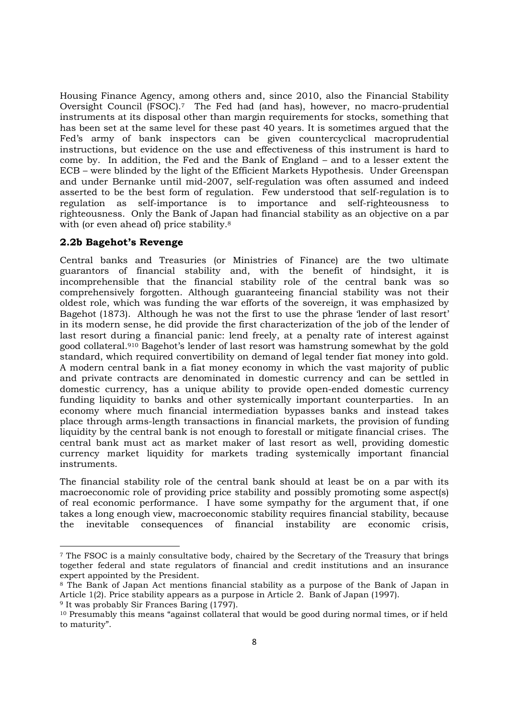Housing Finance Agency, among others and, since 2010, also the Financial Stability Oversight Council (FSOC).7 The Fed had (and has), however, no macro-prudential instruments at its disposal other than margin requirements for stocks, something that has been set at the same level for these past 40 years. It is sometimes argued that the Fed's army of bank inspectors can be given countercyclical macroprudential instructions, but evidence on the use and effectiveness of this instrument is hard to come by. In addition, the Fed and the Bank of England – and to a lesser extent the ECB – were blinded by the light of the Efficient Markets Hypothesis. Under Greenspan and under Bernanke until mid-2007, self-regulation was often assumed and indeed asserted to be the best form of regulation. Few understood that self-regulation is to regulation as self-importance is to importance and self-righteousness to righteousness. Only the Bank of Japan had financial stability as an objective on a par with (or even ahead of) price stability.<sup>8</sup>

## **2.2b Bagehot's Revenge**

Central banks and Treasuries (or Ministries of Finance) are the two ultimate guarantors of financial stability and, with the benefit of hindsight, it is incomprehensible that the financial stability role of the central bank was so comprehensively forgotten. Although guaranteeing financial stability was not their oldest role, which was funding the war efforts of the sovereign, it was emphasized by Bagehot (1873). Although he was not the first to use the phrase 'lender of last resort' in its modern sense, he did provide the first characterization of the job of the lender of last resort during a financial panic: lend freely, at a penalty rate of interest against good collateral.910 Bagehot's lender of last resort was hamstrung somewhat by the gold standard, which required convertibility on demand of legal tender fiat money into gold. A modern central bank in a fiat money economy in which the vast majority of public and private contracts are denominated in domestic currency and can be settled in domestic currency, has a unique ability to provide open-ended domestic currency funding liquidity to banks and other systemically important counterparties. In an economy where much financial intermediation bypasses banks and instead takes place through arms-length transactions in financial markets, the provision of funding liquidity by the central bank is not enough to forestall or mitigate financial crises. The central bank must act as market maker of last resort as well, providing domestic currency market liquidity for markets trading systemically important financial instruments.

The financial stability role of the central bank should at least be on a par with its macroeconomic role of providing price stability and possibly promoting some aspect(s) of real economic performance. I have some sympathy for the argument that, if one takes a long enough view, macroeconomic stability requires financial stability, because the inevitable consequences of financial instability are economic crisis,

<u>.</u>

<sup>7</sup> The FSOC is a mainly consultative body, chaired by the Secretary of the Treasury that brings together federal and state regulators of financial and credit institutions and an insurance expert appointed by the President.

<sup>8</sup> The Bank of Japan Act mentions financial stability as a purpose of the Bank of Japan in Article 1(2). Price stability appears as a purpose in Article 2. Bank of Japan (1997).

<sup>&</sup>lt;sup>9</sup> It was probably Sir Frances Baring (1797).

<sup>10</sup> Presumably this means "against collateral that would be good during normal times, or if held to maturity".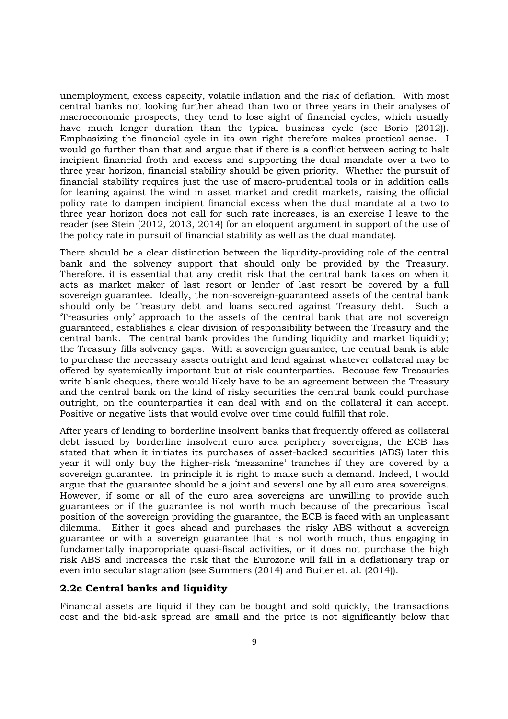unemployment, excess capacity, volatile inflation and the risk of deflation. With most central banks not looking further ahead than two or three years in their analyses of macroeconomic prospects, they tend to lose sight of financial cycles, which usually have much longer duration than the typical business cycle (see Borio (2012)). Emphasizing the financial cycle in its own right therefore makes practical sense. I would go further than that and argue that if there is a conflict between acting to halt incipient financial froth and excess and supporting the dual mandate over a two to three year horizon, financial stability should be given priority. Whether the pursuit of financial stability requires just the use of macro-prudential tools or in addition calls for leaning against the wind in asset market and credit markets, raising the official policy rate to dampen incipient financial excess when the dual mandate at a two to three year horizon does not call for such rate increases, is an exercise I leave to the reader (see Stein (2012, 2013, 2014) for an eloquent argument in support of the use of the policy rate in pursuit of financial stability as well as the dual mandate).

There should be a clear distinction between the liquidity-providing role of the central bank and the solvency support that should only be provided by the Treasury. Therefore, it is essential that any credit risk that the central bank takes on when it acts as market maker of last resort or lender of last resort be covered by a full sovereign guarantee. Ideally, the non-sovereign-guaranteed assets of the central bank should only be Treasury debt and loans secured against Treasury debt. Such a 'Treasuries only' approach to the assets of the central bank that are not sovereign guaranteed, establishes a clear division of responsibility between the Treasury and the central bank. The central bank provides the funding liquidity and market liquidity; the Treasury fills solvency gaps. With a sovereign guarantee, the central bank is able to purchase the necessary assets outright and lend against whatever collateral may be offered by systemically important but at-risk counterparties. Because few Treasuries write blank cheques, there would likely have to be an agreement between the Treasury and the central bank on the kind of risky securities the central bank could purchase outright, on the counterparties it can deal with and on the collateral it can accept. Positive or negative lists that would evolve over time could fulfill that role.

After years of lending to borderline insolvent banks that frequently offered as collateral debt issued by borderline insolvent euro area periphery sovereigns, the ECB has stated that when it initiates its purchases of asset-backed securities (ABS) later this year it will only buy the higher-risk 'mezzanine' tranches if they are covered by a sovereign guarantee. In principle it is right to make such a demand. Indeed, I would argue that the guarantee should be a joint and several one by all euro area sovereigns. However, if some or all of the euro area sovereigns are unwilling to provide such guarantees or if the guarantee is not worth much because of the precarious fiscal position of the sovereign providing the guarantee, the ECB is faced with an unpleasant dilemma. Either it goes ahead and purchases the risky ABS without a sovereign guarantee or with a sovereign guarantee that is not worth much, thus engaging in fundamentally inappropriate quasi-fiscal activities, or it does not purchase the high risk ABS and increases the risk that the Eurozone will fall in a deflationary trap or even into secular stagnation (see Summers (2014) and Buiter et. al. (2014)).

#### **2.2c Central banks and liquidity**

Financial assets are liquid if they can be bought and sold quickly, the transactions cost and the bid-ask spread are small and the price is not significantly below that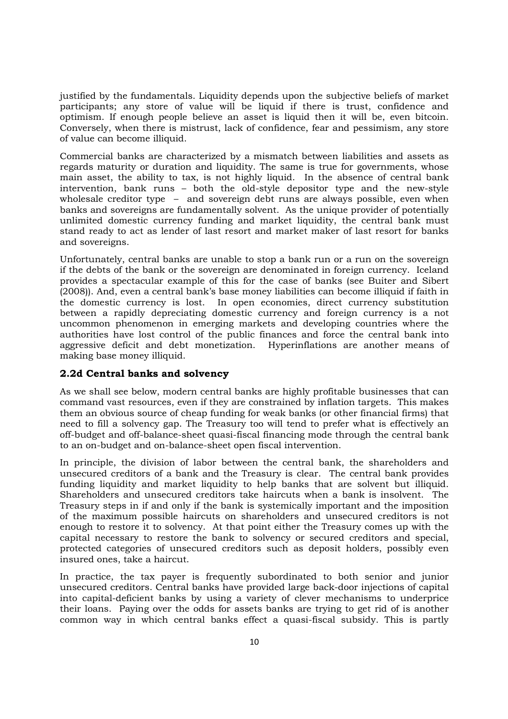justified by the fundamentals. Liquidity depends upon the subjective beliefs of market participants; any store of value will be liquid if there is trust, confidence and optimism. If enough people believe an asset is liquid then it will be, even bitcoin. Conversely, when there is mistrust, lack of confidence, fear and pessimism, any store of value can become illiquid.

Commercial banks are characterized by a mismatch between liabilities and assets as regards maturity or duration and liquidity. The same is true for governments, whose main asset, the ability to tax, is not highly liquid. In the absence of central bank intervention, bank runs – both the old-style depositor type and the new-style wholesale creditor type – and sovereign debt runs are always possible, even when banks and sovereigns are fundamentally solvent. As the unique provider of potentially unlimited domestic currency funding and market liquidity, the central bank must stand ready to act as lender of last resort and market maker of last resort for banks and sovereigns.

Unfortunately, central banks are unable to stop a bank run or a run on the sovereign if the debts of the bank or the sovereign are denominated in foreign currency. Iceland provides a spectacular example of this for the case of banks (see Buiter and Sibert (2008)). And, even a central bank's base money liabilities can become illiquid if faith in the domestic currency is lost. In open economies, direct currency substitution between a rapidly depreciating domestic currency and foreign currency is a not uncommon phenomenon in emerging markets and developing countries where the authorities have lost control of the public finances and force the central bank into aggressive deficit and debt monetization. Hyperinflations are another means of making base money illiquid.

## **2.2d Central banks and solvency**

As we shall see below, modern central banks are highly profitable businesses that can command vast resources, even if they are constrained by inflation targets. This makes them an obvious source of cheap funding for weak banks (or other financial firms) that need to fill a solvency gap. The Treasury too will tend to prefer what is effectively an off-budget and off-balance-sheet quasi-fiscal financing mode through the central bank to an on-budget and on-balance-sheet open fiscal intervention.

In principle, the division of labor between the central bank, the shareholders and unsecured creditors of a bank and the Treasury is clear. The central bank provides funding liquidity and market liquidity to help banks that are solvent but illiquid. Shareholders and unsecured creditors take haircuts when a bank is insolvent. The Treasury steps in if and only if the bank is systemically important and the imposition of the maximum possible haircuts on shareholders and unsecured creditors is not enough to restore it to solvency. At that point either the Treasury comes up with the capital necessary to restore the bank to solvency or secured creditors and special, protected categories of unsecured creditors such as deposit holders, possibly even insured ones, take a haircut.

In practice, the tax payer is frequently subordinated to both senior and junior unsecured creditors. Central banks have provided large back-door injections of capital into capital-deficient banks by using a variety of clever mechanisms to underprice their loans. Paying over the odds for assets banks are trying to get rid of is another common way in which central banks effect a quasi-fiscal subsidy. This is partly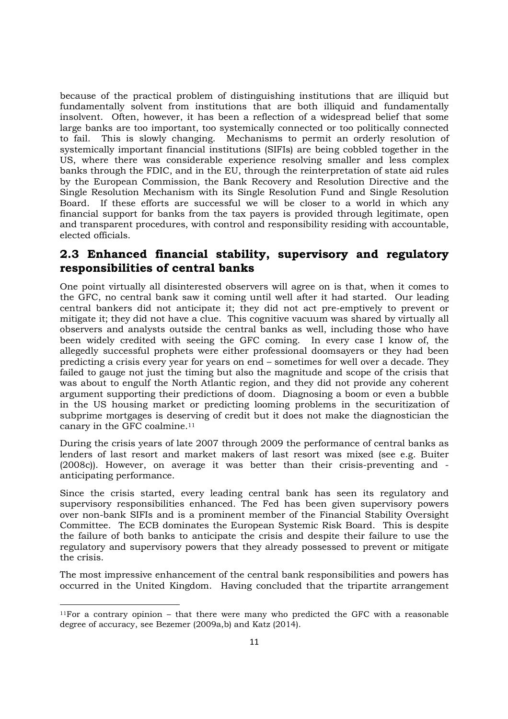because of the practical problem of distinguishing institutions that are illiquid but fundamentally solvent from institutions that are both illiquid and fundamentally insolvent. Often, however, it has been a reflection of a widespread belief that some large banks are too important, too systemically connected or too politically connected to fail. This is slowly changing. Mechanisms to permit an orderly resolution of systemically important financial institutions (SIFIs) are being cobbled together in the US, where there was considerable experience resolving smaller and less complex banks through the FDIC, and in the EU, through the reinterpretation of state aid rules by the European Commission, the Bank Recovery and Resolution Directive and the Single Resolution Mechanism with its Single Resolution Fund and Single Resolution Board. If these efforts are successful we will be closer to a world in which any financial support for banks from the tax payers is provided through legitimate, open and transparent procedures, with control and responsibility residing with accountable, elected officials.

## **2.3 Enhanced financial stability, supervisory and regulatory responsibilities of central banks**

One point virtually all disinterested observers will agree on is that, when it comes to the GFC, no central bank saw it coming until well after it had started. Our leading central bankers did not anticipate it; they did not act pre-emptively to prevent or mitigate it; they did not have a clue. This cognitive vacuum was shared by virtually all observers and analysts outside the central banks as well, including those who have been widely credited with seeing the GFC coming. In every case I know of, the allegedly successful prophets were either professional doomsayers or they had been predicting a crisis every year for years on end – sometimes for well over a decade. They failed to gauge not just the timing but also the magnitude and scope of the crisis that was about to engulf the North Atlantic region, and they did not provide any coherent argument supporting their predictions of doom. Diagnosing a boom or even a bubble in the US housing market or predicting looming problems in the securitization of subprime mortgages is deserving of credit but it does not make the diagnostician the canary in the GFC coalmine.<sup>11</sup>

During the crisis years of late 2007 through 2009 the performance of central banks as lenders of last resort and market makers of last resort was mixed (see e.g. Buiter (2008c)). However, on average it was better than their crisis-preventing and anticipating performance.

Since the crisis started, every leading central bank has seen its regulatory and supervisory responsibilities enhanced. The Fed has been given supervisory powers over non-bank SIFIs and is a prominent member of the Financial Stability Oversight Committee. The ECB dominates the European Systemic Risk Board. This is despite the failure of both banks to anticipate the crisis and despite their failure to use the regulatory and supervisory powers that they already possessed to prevent or mitigate the crisis.

The most impressive enhancement of the central bank responsibilities and powers has occurred in the United Kingdom. Having concluded that the tripartite arrangement

<u>.</u>

<sup>&</sup>lt;sup>11</sup>For a contrary opinion – that there were many who predicted the GFC with a reasonable degree of accuracy, see Bezemer (2009a,b) and Katz (2014).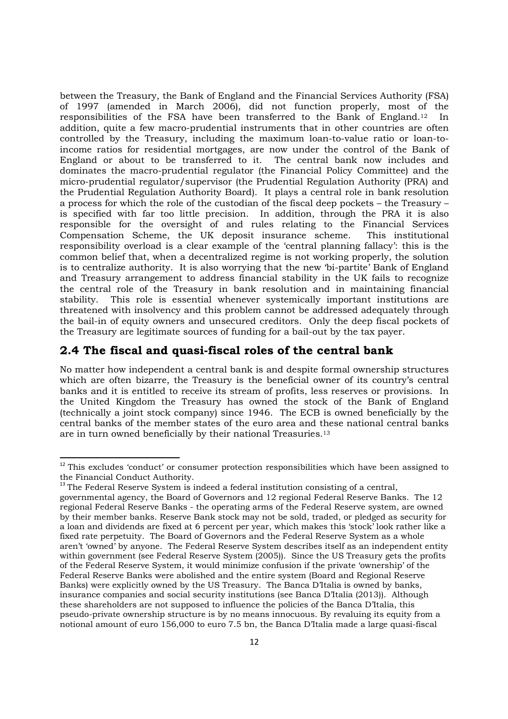between the Treasury, the Bank of England and the Financial Services Authority (FSA) of 1997 (amended in March 2006), did not function properly, most of the responsibilities of the FSA have been transferred to the Bank of England.12 In addition, quite a few macro-prudential instruments that in other countries are often controlled by the Treasury, including the maximum loan-to-value ratio or loan-toincome ratios for residential mortgages, are now under the control of the Bank of England or about to be transferred to it. The central bank now includes and dominates the macro-prudential regulator (the Financial Policy Committee) and the micro-prudential regulator/supervisor (the Prudential Regulation Authority (PRA) and the Prudential Regulation Authority Board). It plays a central role in bank resolution a process for which the role of the custodian of the fiscal deep pockets – the Treasury – is specified with far too little precision. In addition, through the PRA it is also responsible for the oversight of and rules relating to the Financial Services Compensation Scheme, the UK deposit insurance scheme. This institutional responsibility overload is a clear example of the 'central planning fallacy': this is the common belief that, when a decentralized regime is not working properly, the solution is to centralize authority. It is also worrying that the new 'bi-partite' Bank of England and Treasury arrangement to address financial stability in the UK fails to recognize the central role of the Treasury in bank resolution and in maintaining financial stability. This role is essential whenever systemically important institutions are threatened with insolvency and this problem cannot be addressed adequately through the bail-in of equity owners and unsecured creditors. Only the deep fiscal pockets of the Treasury are legitimate sources of funding for a bail-out by the tax payer.

## **2.4 The fiscal and quasi-fiscal roles of the central bank**

No matter how independent a central bank is and despite formal ownership structures which are often bizarre, the Treasury is the beneficial owner of its country's central banks and it is entitled to receive its stream of profits, less reserves or provisions. In the United Kingdom the Treasury has owned the stock of the Bank of England (technically a joint stock company) since 1946. The ECB is owned beneficially by the central banks of the member states of the euro area and these national central banks are in turn owned beneficially by their national Treasuries.<sup>13</sup>

.<br>-

 $12$ <sup>12</sup> This excludes 'conduct' or consumer protection responsibilities which have been assigned to the Financial Conduct Authority.

 $13$ <sup>13</sup> The Federal Reserve System is indeed a federal institution consisting of a central,

governmental agency, the Board of Governors and 12 regional Federal Reserve Banks. The 12 regional Federal Reserve Banks - the operating arms of the Federal Reserve system, are owned by their member banks. Reserve Bank stock may not be sold, traded, or pledged as security for a loan and dividends are fixed at 6 percent per year, which makes this 'stock' look rather like a fixed rate perpetuity. The Board of Governors and the Federal Reserve System as a whole aren't 'owned' by anyone. The Federal Reserve System describes itself as an independent entity within government (see Federal Reserve System (2005)). Since the US Treasury gets the profits of the Federal Reserve System, it would minimize confusion if the private 'ownership' of the Federal Reserve Banks were abolished and the entire system (Board and Regional Reserve Banks) were explicitly owned by the US Treasury. The Banca D'Italia is owned by banks, insurance companies and social security institutions (see Banca D'Italia (2013)). Although these shareholders are not supposed to influence the policies of the Banca D'Italia, this pseudo-private ownership structure is by no means innocuous. By revaluing its equity from a notional amount of euro 156,000 to euro 7.5 bn, the Banca D'Italia made a large quasi-fiscal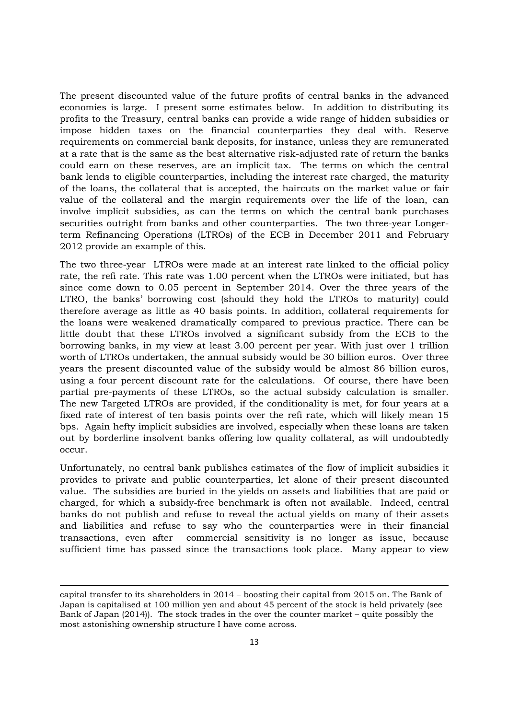The present discounted value of the future profits of central banks in the advanced economies is large. I present some estimates below. In addition to distributing its profits to the Treasury, central banks can provide a wide range of hidden subsidies or impose hidden taxes on the financial counterparties they deal with. Reserve requirements on commercial bank deposits, for instance, unless they are remunerated at a rate that is the same as the best alternative risk-adjusted rate of return the banks could earn on these reserves, are an implicit tax. The terms on which the central bank lends to eligible counterparties, including the interest rate charged, the maturity of the loans, the collateral that is accepted, the haircuts on the market value or fair value of the collateral and the margin requirements over the life of the loan, can involve implicit subsidies, as can the terms on which the central bank purchases securities outright from banks and other counterparties. The two three-year Longerterm Refinancing Operations (LTROs) of the ECB in December 2011 and February 2012 provide an example of this.

The two three-year LTROs were made at an interest rate linked to the official policy rate, the refi rate. This rate was 1.00 percent when the LTROs were initiated, but has since come down to 0.05 percent in September 2014. Over the three years of the LTRO, the banks' borrowing cost (should they hold the LTROs to maturity) could therefore average as little as 40 basis points. In addition, collateral requirements for the loans were weakened dramatically compared to previous practice. There can be little doubt that these LTROs involved a significant subsidy from the ECB to the borrowing banks, in my view at least 3.00 percent per year. With just over 1 trillion worth of LTROs undertaken, the annual subsidy would be 30 billion euros. Over three years the present discounted value of the subsidy would be almost 86 billion euros, using a four percent discount rate for the calculations. Of course, there have been partial pre-payments of these LTROs, so the actual subsidy calculation is smaller. The new Targeted LTROs are provided, if the conditionality is met, for four years at a fixed rate of interest of ten basis points over the refi rate, which will likely mean 15 bps. Again hefty implicit subsidies are involved, especially when these loans are taken out by borderline insolvent banks offering low quality collateral, as will undoubtedly occur.

Unfortunately, no central bank publishes estimates of the flow of implicit subsidies it provides to private and public counterparties, let alone of their present discounted value. The subsidies are buried in the yields on assets and liabilities that are paid or charged, for which a subsidy-free benchmark is often not available. Indeed, central banks do not publish and refuse to reveal the actual yields on many of their assets and liabilities and refuse to say who the counterparties were in their financial transactions, even after commercial sensitivity is no longer as issue, because sufficient time has passed since the transactions took place. Many appear to view

.<br>-

capital transfer to its shareholders in 2014 – boosting their capital from 2015 on. The Bank of Japan is capitalised at 100 million yen and about 45 percent of the stock is held privately (see Bank of Japan (2014)). The stock trades in the over the counter market – quite possibly the most astonishing ownership structure I have come across.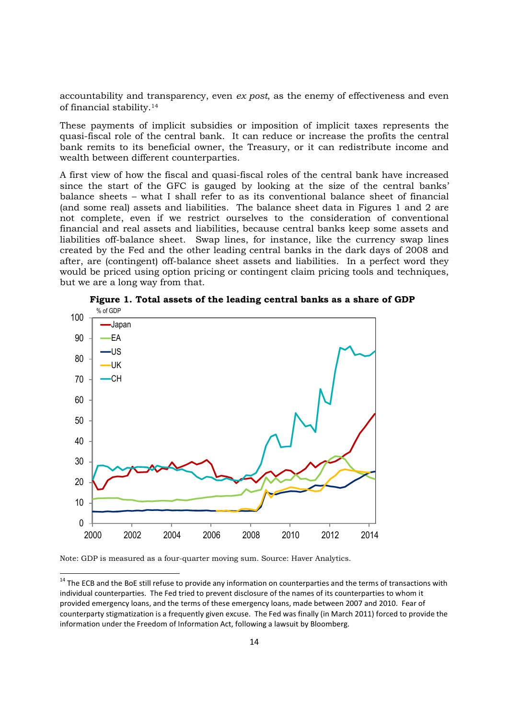accountability and transparency, even *ex post*, as the enemy of effectiveness and even of financial stability.<sup>14</sup>

These payments of implicit subsidies or imposition of implicit taxes represents the quasi-fiscal role of the central bank. It can reduce or increase the profits the central bank remits to its beneficial owner, the Treasury, or it can redistribute income and wealth between different counterparties.

A first view of how the fiscal and quasi-fiscal roles of the central bank have increased since the start of the GFC is gauged by looking at the size of the central banks' balance sheets – what I shall refer to as its conventional balance sheet of financial (and some real) assets and liabilities. The balance sheet data in Figures 1 and 2 are not complete, even if we restrict ourselves to the consideration of conventional financial and real assets and liabilities, because central banks keep some assets and liabilities off-balance sheet. Swap lines, for instance, like the currency swap lines created by the Fed and the other leading central banks in the dark days of 2008 and after, are (contingent) off-balance sheet assets and liabilities. In a perfect word they would be priced using option pricing or contingent claim pricing tools and techniques, but we are a long way from that.



**Figure 1. Total assets of the leading central banks as a share of GDP** 

Note: GDP is measured as a four-quarter moving sum. Source: Haver Analytics.

<u>.</u>

<sup>&</sup>lt;sup>14</sup> The ECB and the BoE still refuse to provide any information on counterparties and the terms of transactions with individual counterparties. The Fed tried to prevent disclosure of the names of its counterparties to whom it provided emergency loans, and the terms of these emergency loans, made between 2007 and 2010. Fear of counterparty stigmatization is a frequently given excuse. The Fed was finally (in March 2011) forced to provide the information under the Freedom of Information Act, following a lawsuit by Bloomberg.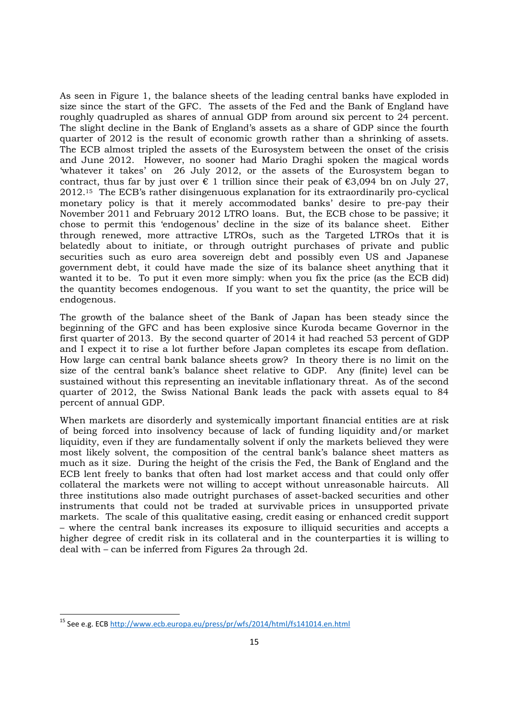As seen in Figure 1, the balance sheets of the leading central banks have exploded in size since the start of the GFC. The assets of the Fed and the Bank of England have roughly quadrupled as shares of annual GDP from around six percent to 24 percent. The slight decline in the Bank of England's assets as a share of GDP since the fourth quarter of 2012 is the result of economic growth rather than a shrinking of assets. The ECB almost tripled the assets of the Eurosystem between the onset of the crisis and June 2012. However, no sooner had Mario Draghi spoken the magical words 'whatever it takes' on 26 July 2012, or the assets of the Eurosystem began to contract, thus far by just over  $\epsilon$  1 trillion since their peak of  $\epsilon$ 3,094 bn on July 27, 2012.15 The ECB's rather disingenuous explanation for its extraordinarily pro-cyclical monetary policy is that it merely accommodated banks' desire to pre-pay their November 2011 and February 2012 LTRO loans. But, the ECB chose to be passive; it chose to permit this 'endogenous' decline in the size of its balance sheet. Either through renewed, more attractive LTROs, such as the Targeted LTROs that it is belatedly about to initiate, or through outright purchases of private and public securities such as euro area sovereign debt and possibly even US and Japanese government debt, it could have made the size of its balance sheet anything that it wanted it to be. To put it even more simply: when you fix the price (as the ECB did) the quantity becomes endogenous. If you want to set the quantity, the price will be endogenous.

The growth of the balance sheet of the Bank of Japan has been steady since the beginning of the GFC and has been explosive since Kuroda became Governor in the first quarter of 2013. By the second quarter of 2014 it had reached 53 percent of GDP and I expect it to rise a lot further before Japan completes its escape from deflation. How large can central bank balance sheets grow? In theory there is no limit on the size of the central bank's balance sheet relative to GDP. Any (finite) level can be sustained without this representing an inevitable inflationary threat. As of the second quarter of 2012, the Swiss National Bank leads the pack with assets equal to 84 percent of annual GDP.

When markets are disorderly and systemically important financial entities are at risk of being forced into insolvency because of lack of funding liquidity and/or market liquidity, even if they are fundamentally solvent if only the markets believed they were most likely solvent, the composition of the central bank's balance sheet matters as much as it size. During the height of the crisis the Fed, the Bank of England and the ECB lent freely to banks that often had lost market access and that could only offer collateral the markets were not willing to accept without unreasonable haircuts. All three institutions also made outright purchases of asset-backed securities and other instruments that could not be traded at survivable prices in unsupported private markets. The scale of this qualitative easing, credit easing or enhanced credit support – where the central bank increases its exposure to illiquid securities and accepts a higher degree of credit risk in its collateral and in the counterparties it is willing to deal with – can be inferred from Figures 2a through 2d.

.<br>-

<sup>15</sup> See e.g. ECB http://www.ecb.europa.eu/press/pr/wfs/2014/html/fs141014.en.html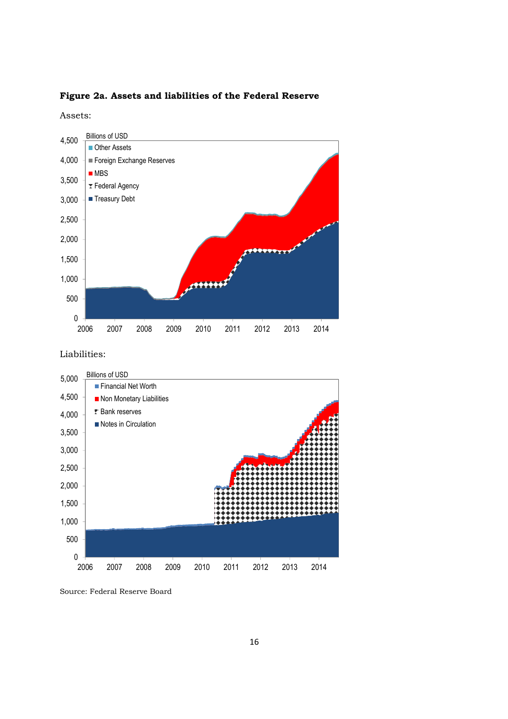

## **Figure 2a. Assets and liabilities of the Federal Reserve**

Assets:

Liabilities:



Source: Federal Reserve Board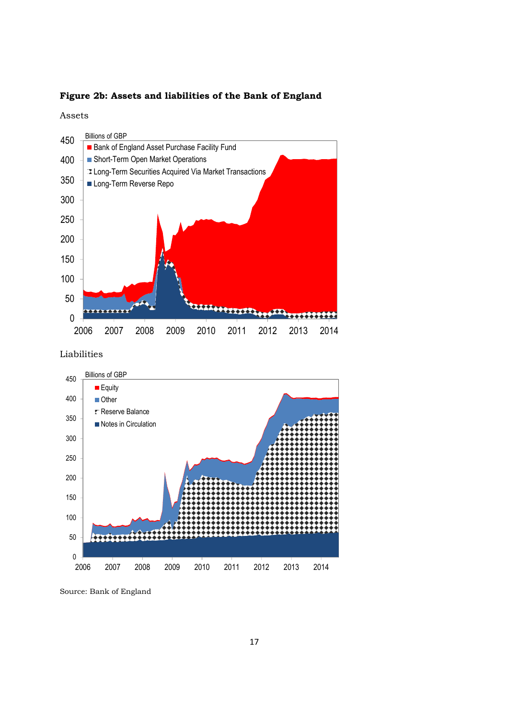

Assets



Liabilities



Source: Bank of England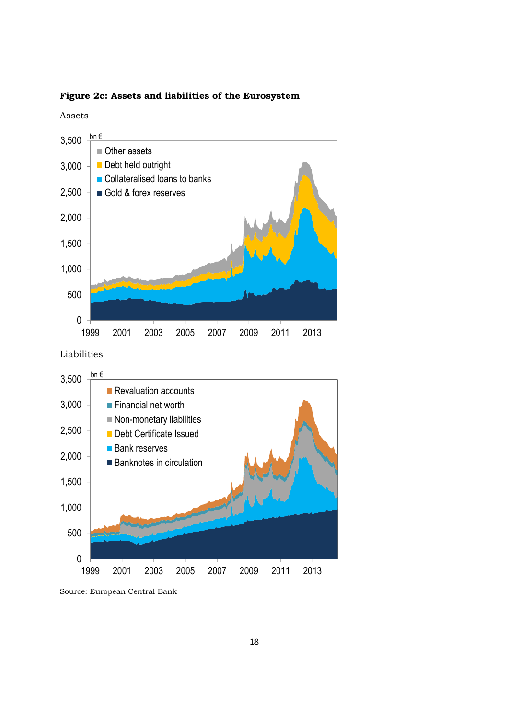**Figure 2c: Assets and liabilities of the Eurosystem**

Assets



Source: European Central Bank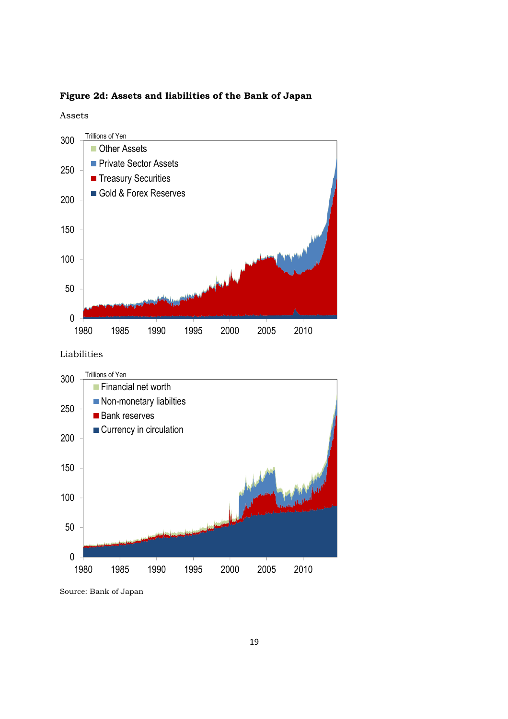

Assets



Liabilities



Source: Bank of Japan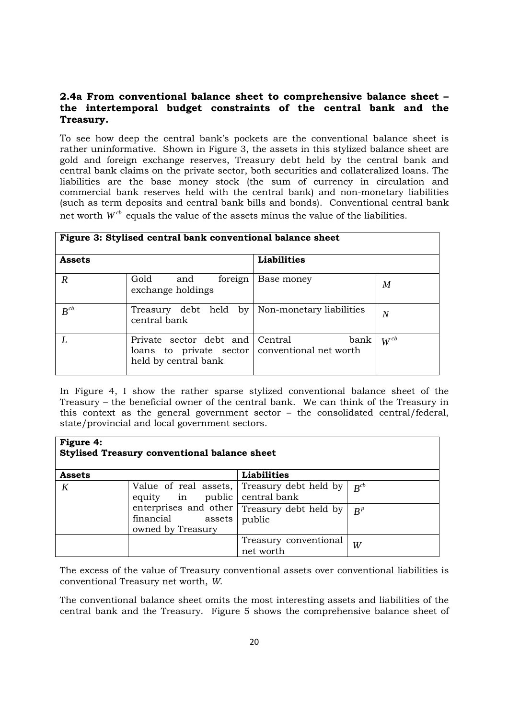## **2.4a From conventional balance sheet to comprehensive balance sheet – the intertemporal budget constraints of the central bank and the Treasury.**

To see how deep the central bank's pockets are the conventional balance sheet is rather uninformative. Shown in Figure 3, the assets in this stylized balance sheet are gold and foreign exchange reserves, Treasury debt held by the central bank and central bank claims on the private sector, both securities and collateralized loans. The liabilities are the base money stock (the sum of currency in circulation and commercial bank reserves held with the central bank) and non-monetary liabilities (such as term deposits and central bank bills and bonds). Conventional central bank net worth  $W^{cb}$  equals the value of the assets minus the value of the liabilities.

| Figure 3: Stylised central bank conventional balance sheet |                                                                                                             |                    |                  |  |  |
|------------------------------------------------------------|-------------------------------------------------------------------------------------------------------------|--------------------|------------------|--|--|
| <b>Assets</b>                                              |                                                                                                             | <b>Liabilities</b> |                  |  |  |
| $\boldsymbol{R}$                                           | Gold<br>foreign<br>and<br>exchange holdings                                                                 | Base money         | $\boldsymbol{M}$ |  |  |
| $R^{cb}$                                                   | Treasury debt held by Non-monetary liabilities<br>central bank                                              |                    | $\overline{N}$   |  |  |
|                                                            | Private sector debt and Central<br>loans to private sector   conventional net worth<br>held by central bank | bank               | $W^{cb}$         |  |  |

In Figure 4, I show the rather sparse stylized conventional balance sheet of the Treasury – the beneficial owner of the central bank. We can think of the Treasury in this context as the general government sector – the consolidated central/federal, state/provincial and local government sectors.

| Figure 4:<br><b>Stylised Treasury conventional balance sheet</b> |                                                                       |                                                                                                                |                   |  |  |  |
|------------------------------------------------------------------|-----------------------------------------------------------------------|----------------------------------------------------------------------------------------------------------------|-------------------|--|--|--|
| <b>Assets</b>                                                    |                                                                       | <b>Liabilities</b>                                                                                             |                   |  |  |  |
| K                                                                | equity in public entral bank<br>financial assets<br>owned by Treasury | Value of real assets, Treasury debt held by<br>enterprises and other $\sqrt{T}$ reasury debt held by<br>public | $R^{cb}$<br>$R^p$ |  |  |  |
|                                                                  |                                                                       | Treasury conventional<br>net worth                                                                             | W                 |  |  |  |

The excess of the value of Treasury conventional assets over conventional liabilities is conventional Treasury net worth, *W*.

The conventional balance sheet omits the most interesting assets and liabilities of the central bank and the Treasury. Figure 5 shows the comprehensive balance sheet of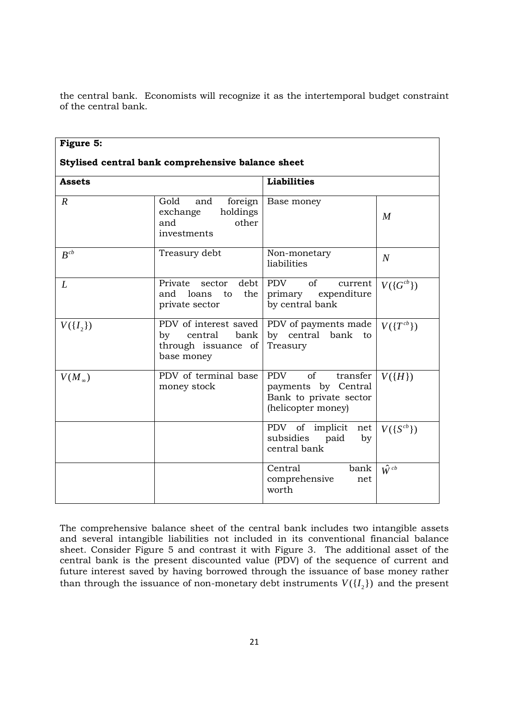| the central bank. Economists will recognize it as the intertemporal budget constraint |  |  |  |
|---------------------------------------------------------------------------------------|--|--|--|
| of the central bank.                                                                  |  |  |  |

| Figure 5:        |                                                                                       |                                                                                                     |                  |
|------------------|---------------------------------------------------------------------------------------|-----------------------------------------------------------------------------------------------------|------------------|
|                  | Stylised central bank comprehensive balance sheet                                     |                                                                                                     |                  |
| <b>Assets</b>    |                                                                                       | <b>Liabilities</b>                                                                                  |                  |
| $\boldsymbol{R}$ | Gold<br>foreign<br>and<br>holdings<br>exchange<br>other<br>and<br>investments         | Base money                                                                                          | $\boldsymbol{M}$ |
| $B^{cb}$         | Treasury debt                                                                         | Non-monetary<br>liabilities                                                                         | $\overline{N}$   |
| L                | Private<br>debt<br>sector<br>the<br>and<br>loans<br>to<br>private sector              | of<br><b>PDV</b><br>current<br>primary<br>expenditure<br>by central bank                            | $V({G^{cb}})$    |
| $V({I,})$        | PDV of interest saved  <br>central<br>bank<br>by<br>through issuance of<br>base money | PDV of payments made<br>by central bank<br>to<br>Treasury                                           | $V({T^{cb}})$    |
| $V(M_{\infty})$  | PDV of terminal base<br>money stock                                                   | <b>PDV</b><br>of<br>transfer<br>payments by Central<br>Bank to private sector<br>(helicopter money) | $V({H})$         |
|                  |                                                                                       | PDV of implicit<br>net<br>subsidies<br>paid<br>by<br>central bank                                   | $V({S^{cb}})$    |
|                  |                                                                                       | Central<br>bank<br>comprehensive<br>net<br>worth                                                    | $\hat{W}^{cb}$   |

The comprehensive balance sheet of the central bank includes two intangible assets and several intangible liabilities not included in its conventional financial balance sheet. Consider Figure 5 and contrast it with Figure 3. The additional asset of the central bank is the present discounted value (PDV) of the sequence of current and future interest saved by having borrowed through the issuance of base money rather than through the issuance of non-monetary debt instruments  $V({I_{2}})$  and the present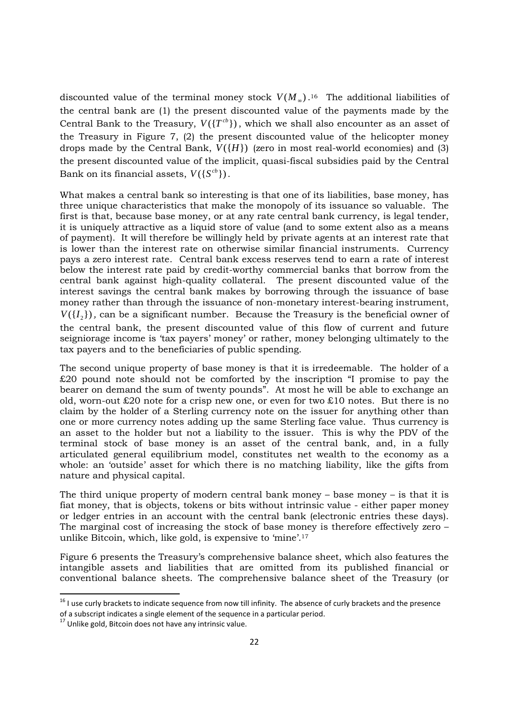discounted value of the terminal money stock  $V(M_{\infty})$ .<sup>16</sup> The additional liabilities of the central bank are (1) the present discounted value of the payments made by the Central Bank to the Treasury,  $V({T^{cb}})$ , which we shall also encounter as an asset of the Treasury in Figure 7, (2) the present discounted value of the helicopter money drops made by the Central Bank,  $V({H})$  (zero in most real-world economies) and (3) the present discounted value of the implicit, quasi-fiscal subsidies paid by the Central Bank on its financial assets,  $V({S^{cb}})$ .

What makes a central bank so interesting is that one of its liabilities, base money, has three unique characteristics that make the monopoly of its issuance so valuable. The first is that, because base money, or at any rate central bank currency, is legal tender, it is uniquely attractive as a liquid store of value (and to some extent also as a means of payment). It will therefore be willingly held by private agents at an interest rate that is lower than the interest rate on otherwise similar financial instruments. Currency pays a zero interest rate. Central bank excess reserves tend to earn a rate of interest below the interest rate paid by credit-worthy commercial banks that borrow from the central bank against high-quality collateral. The present discounted value of the interest savings the central bank makes by borrowing through the issuance of base money rather than through the issuance of non-monetary interest-bearing instrument,  $V(I<sub>1</sub>)$ , can be a significant number. Because the Treasury is the beneficial owner of the central bank, the present discounted value of this flow of current and future seigniorage income is 'tax payers' money' or rather, money belonging ultimately to the tax payers and to the beneficiaries of public spending.

The second unique property of base money is that it is irredeemable. The holder of a £20 pound note should not be comforted by the inscription "I promise to pay the bearer on demand the sum of twenty pounds". At most he will be able to exchange an old, worn-out £20 note for a crisp new one, or even for two £10 notes. But there is no claim by the holder of a Sterling currency note on the issuer for anything other than one or more currency notes adding up the same Sterling face value. Thus currency is an asset to the holder but not a liability to the issuer. This is why the PDV of the terminal stock of base money is an asset of the central bank, and, in a fully articulated general equilibrium model, constitutes net wealth to the economy as a whole: an 'outside' asset for which there is no matching liability, like the gifts from nature and physical capital.

The third unique property of modern central bank money – base money – is that it is fiat money, that is objects, tokens or bits without intrinsic value - either paper money or ledger entries in an account with the central bank (electronic entries these days). The marginal cost of increasing the stock of base money is therefore effectively zero – unlike Bitcoin, which, like gold, is expensive to 'mine'.<sup>17</sup>

Figure 6 presents the Treasury's comprehensive balance sheet, which also features the intangible assets and liabilities that are omitted from its published financial or conventional balance sheets. The comprehensive balance sheet of the Treasury (or

<u>.</u>

 $16$  I use curly brackets to indicate sequence from now till infinity. The absence of curly brackets and the presence of a subscript indicates a single element of the sequence in a particular period.

 $17$  Unlike gold, Bitcoin does not have any intrinsic value.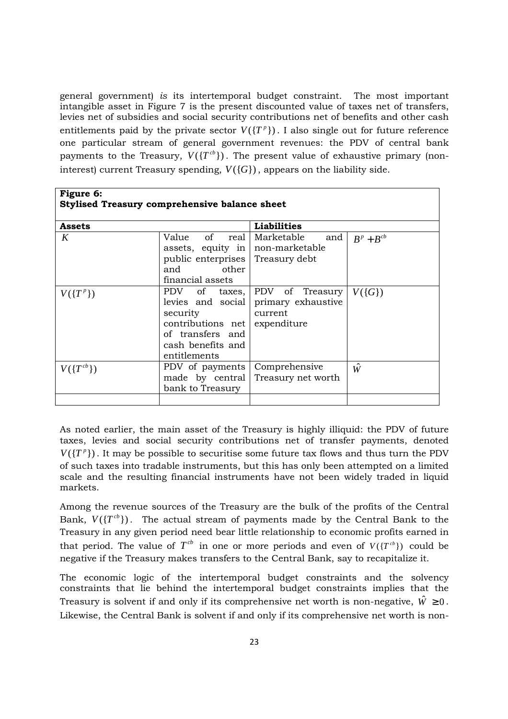general government) *is* its intertemporal budget constraint. The most important intangible asset in Figure 7 is the present discounted value of taxes net of transfers, levies net of subsidies and social security contributions net of benefits and other cash entitlements paid by the private sector  $V({T}^p)$ ). I also single out for future reference one particular stream of general government revenues: the PDV of central bank payments to the Treasury,  $V({T^{cb}})$ . The present value of exhaustive primary (noninterest) current Treasury spending,  $V({G})$ , appears on the liability side.

| Figure 6:<br><b>Stylised Treasury comprehensive balance sheet</b> |                                                                                                                         |                                                                                          |                |
|-------------------------------------------------------------------|-------------------------------------------------------------------------------------------------------------------------|------------------------------------------------------------------------------------------|----------------|
| <b>Assets</b>                                                     |                                                                                                                         | <b>Liabilities</b>                                                                       |                |
| K                                                                 | $\circ$ f<br>Value<br>real<br>assets, equity in<br>public enterprises Treasury debt<br>other<br>and<br>financial assets | Marketable<br>and<br>non-marketable                                                      | $B^p + B^{cb}$ |
| $V({T^p})$                                                        | PDV of<br>security<br>contributions net<br>of transfers and<br>cash benefits and<br>entitlements                        | taxes, PDV of Treasury<br>levies and social primary exhaustive<br>current<br>expenditure | $V({G})$       |
| $V({T^{cb}})$                                                     | PDV of payments<br>made by central<br>bank to Treasury                                                                  | Comprehensive<br>Treasury net worth                                                      | Ŵ              |

As noted earlier, the main asset of the Treasury is highly illiquid: the PDV of future taxes, levies and social security contributions net of transfer payments, denoted  $V({T}^p)$ . It may be possible to securitise some future tax flows and thus turn the PDV of such taxes into tradable instruments, but this has only been attempted on a limited scale and the resulting financial instruments have not been widely traded in liquid markets.

Among the revenue sources of the Treasury are the bulk of the profits of the Central Bank,  $V({T^{cb}})$ . The actual stream of payments made by the Central Bank to the Treasury in any given period need bear little relationship to economic profits earned in that period. The value of  $T^{cb}$  in one or more periods and even of  $V({T^{cb}})$  could be negative if the Treasury makes transfers to the Central Bank, say to recapitalize it.

The economic logic of the intertemporal budget constraints and the solvency constraints that lie behind the intertemporal budget constraints implies that the Treasury is solvent if and only if its comprehensive net worth is non-negative,  $\hat{W} \ge 0$ . Likewise, the Central Bank is solvent if and only if its comprehensive net worth is non-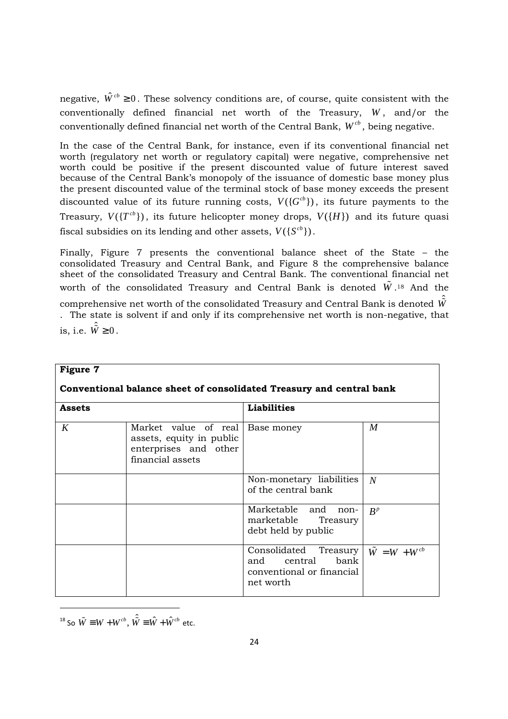negative,  $\hat{W}^{cb} \geq 0$  . These solvency conditions are, of course, quite consistent with the conventionally defined financial net worth of the Treasury, *W* , and/or the conventionally defined financial net worth of the Central Bank,  $W^{cb}$ , being negative.

In the case of the Central Bank, for instance, even if its conventional financial net worth (regulatory net worth or regulatory capital) were negative, comprehensive net worth could be positive if the present discounted value of future interest saved because of the Central Bank's monopoly of the issuance of domestic base money plus the present discounted value of the terminal stock of base money exceeds the present discounted value of its future running costs,  $V({G^{cb}})$ , its future payments to the Treasury,  $V({T^{cb}})$ , its future helicopter money drops,  $V({H})$  and its future quasi fiscal subsidies on its lending and other assets,  $V({S^{cb}})$ .

Finally, Figure 7 presents the conventional balance sheet of the State – the consolidated Treasury and Central Bank, and Figure 8 the comprehensive balance sheet of the consolidated Treasury and Central Bank. The conventional financial net worth of the consolidated Treasury and Central Bank is denoted  $\tilde{W}$ .<sup>18</sup> And the comprehensive net worth of the consolidated Treasury and Central Bank is denoted  $\tilde{W}$ . The state is solvent if and only if its comprehensive net worth is non-negative, that is, i.e.  $\hat{\tilde{W}} \ge 0$ .

| Figure 7      |                                                                                               | Conventional balance sheet of consolidated Treasury and central bank                |                          |
|---------------|-----------------------------------------------------------------------------------------------|-------------------------------------------------------------------------------------|--------------------------|
| <b>Assets</b> |                                                                                               | <b>Liabilities</b>                                                                  |                          |
| K             | Market value of real<br>assets, equity in public<br>enterprises and other<br>financial assets | Base money                                                                          | $\boldsymbol{M}$         |
|               |                                                                                               | Non-monetary liabilities<br>of the central bank                                     | N                        |
|               |                                                                                               | Marketable and<br>non-<br>marketable<br>Treasury<br>debt held by public             | $B^p$                    |
|               |                                                                                               | Consolidated Treasury<br>and central bank<br>conventional or financial<br>net worth | $\tilde{W} = W + W^{cb}$ |

 $^{18}$  So  $\tilde{W} \equiv W + W^{cb}$ ,  $\hat{\tilde{W}} \equiv \hat{W} + \hat{W}^{cb}$  etc.

<u>.</u>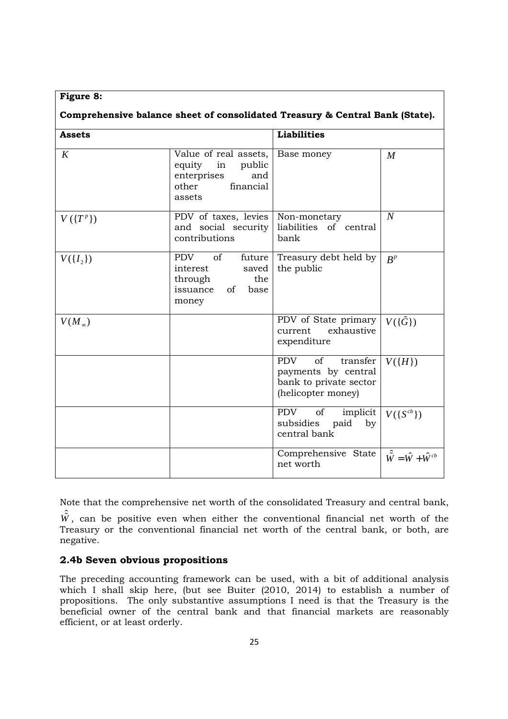| Figure 8: |  |
|-----------|--|
|-----------|--|

| <b>Assets</b>            |                                                                                                                     | <b>Liabilities</b>                                                                                  |                                            |
|--------------------------|---------------------------------------------------------------------------------------------------------------------|-----------------------------------------------------------------------------------------------------|--------------------------------------------|
| K                        | Value of real assets,<br>equity<br>in<br>public<br>enterprises<br>and<br>financial<br>other<br>assets               | Base money                                                                                          | $\boldsymbol{M}$                           |
| $V(\lbrace T^p \rbrace)$ | PDV of taxes, levies<br>and social security<br>contributions                                                        | Non-monetary<br>liabilities of central<br>bank                                                      | N                                          |
| $V({I_2})$               | <b>PDV</b><br>$\circ$ of<br>future<br>interest<br>saved<br>the<br>through<br>issuance<br>$\circ$ f<br>base<br>money | Treasury debt held by<br>the public                                                                 | $B^p$                                      |
| $V(M_{\infty})$          |                                                                                                                     | PDV of State primary<br>exhaustive<br>current<br>expenditure                                        | $V(\{\tilde{G}\})$                         |
|                          |                                                                                                                     | <b>PDV</b><br>of<br>transfer<br>payments by central<br>bank to private sector<br>(helicopter money) | $V({H})$                                   |
|                          |                                                                                                                     | of<br>PDV<br>implicit<br>subsidies<br>paid<br>by<br>central bank                                    | $V({S^{cb}})$                              |
|                          |                                                                                                                     | Comprehensive State<br>net worth                                                                    | $\hat{\tilde{W}} = \hat{W} + \hat{W}^{cb}$ |

Note that the comprehensive net worth of the consolidated Treasury and central bank,

 $\hat{\tilde{W}}$ , can be positive even when either the conventional financial net worth of the Treasury or the conventional financial net worth of the central bank, or both, are negative.

## **2.4b Seven obvious propositions**

The preceding accounting framework can be used, with a bit of additional analysis which I shall skip here, (but see Buiter (2010, 2014) to establish a number of propositions. The only substantive assumptions I need is that the Treasury is the beneficial owner of the central bank and that financial markets are reasonably efficient, or at least orderly.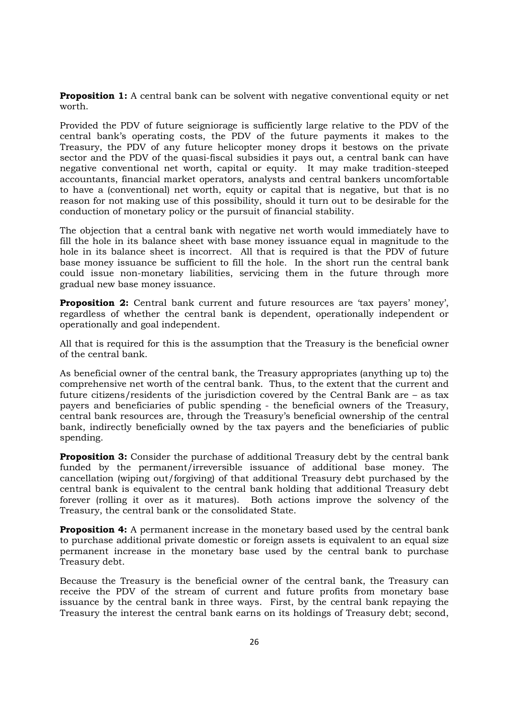**Proposition 1:** A central bank can be solvent with negative conventional equity or net worth.

Provided the PDV of future seigniorage is sufficiently large relative to the PDV of the central bank's operating costs, the PDV of the future payments it makes to the Treasury, the PDV of any future helicopter money drops it bestows on the private sector and the PDV of the quasi-fiscal subsidies it pays out, a central bank can have negative conventional net worth, capital or equity. It may make tradition-steeped accountants, financial market operators, analysts and central bankers uncomfortable to have a (conventional) net worth, equity or capital that is negative, but that is no reason for not making use of this possibility, should it turn out to be desirable for the conduction of monetary policy or the pursuit of financial stability.

The objection that a central bank with negative net worth would immediately have to fill the hole in its balance sheet with base money issuance equal in magnitude to the hole in its balance sheet is incorrect. All that is required is that the PDV of future base money issuance be sufficient to fill the hole. In the short run the central bank could issue non-monetary liabilities, servicing them in the future through more gradual new base money issuance.

**Proposition 2:** Central bank current and future resources are 'tax payers' money', regardless of whether the central bank is dependent, operationally independent or operationally and goal independent.

All that is required for this is the assumption that the Treasury is the beneficial owner of the central bank.

As beneficial owner of the central bank, the Treasury appropriates (anything up to) the comprehensive net worth of the central bank. Thus, to the extent that the current and future citizens/residents of the jurisdiction covered by the Central Bank are – as tax payers and beneficiaries of public spending - the beneficial owners of the Treasury, central bank resources are, through the Treasury's beneficial ownership of the central bank, indirectly beneficially owned by the tax payers and the beneficiaries of public spending.

**Proposition 3:** Consider the purchase of additional Treasury debt by the central bank funded by the permanent/irreversible issuance of additional base money. The cancellation (wiping out/forgiving) of that additional Treasury debt purchased by the central bank is equivalent to the central bank holding that additional Treasury debt forever (rolling it over as it matures). Both actions improve the solvency of the Treasury, the central bank or the consolidated State.

**Proposition 4:** A permanent increase in the monetary based used by the central bank to purchase additional private domestic or foreign assets is equivalent to an equal size permanent increase in the monetary base used by the central bank to purchase Treasury debt.

Because the Treasury is the beneficial owner of the central bank, the Treasury can receive the PDV of the stream of current and future profits from monetary base issuance by the central bank in three ways. First, by the central bank repaying the Treasury the interest the central bank earns on its holdings of Treasury debt; second,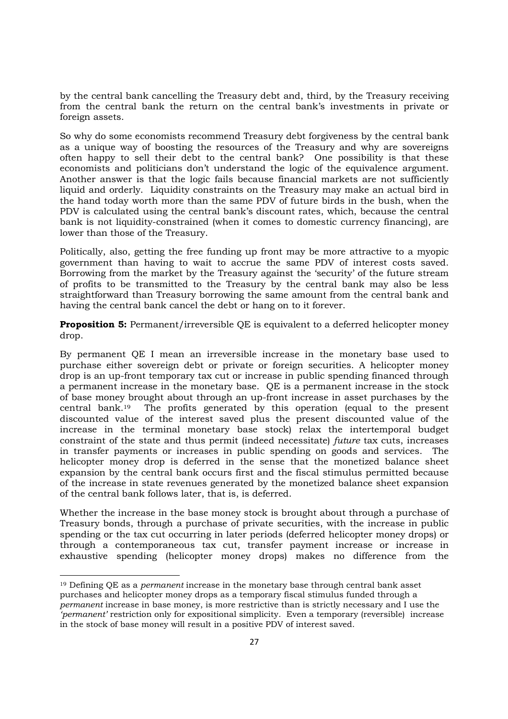by the central bank cancelling the Treasury debt and, third, by the Treasury receiving from the central bank the return on the central bank's investments in private or foreign assets.

So why do some economists recommend Treasury debt forgiveness by the central bank as a unique way of boosting the resources of the Treasury and why are sovereigns often happy to sell their debt to the central bank? One possibility is that these economists and politicians don't understand the logic of the equivalence argument. Another answer is that the logic fails because financial markets are not sufficiently liquid and orderly. Liquidity constraints on the Treasury may make an actual bird in the hand today worth more than the same PDV of future birds in the bush, when the PDV is calculated using the central bank's discount rates, which, because the central bank is not liquidity-constrained (when it comes to domestic currency financing), are lower than those of the Treasury.

Politically, also, getting the free funding up front may be more attractive to a myopic government than having to wait to accrue the same PDV of interest costs saved. Borrowing from the market by the Treasury against the 'security' of the future stream of profits to be transmitted to the Treasury by the central bank may also be less straightforward than Treasury borrowing the same amount from the central bank and having the central bank cancel the debt or hang on to it forever.

**Proposition 5:** Permanent/irreversible OE is equivalent to a deferred helicopter money drop.

By permanent QE I mean an irreversible increase in the monetary base used to purchase either sovereign debt or private or foreign securities. A helicopter money drop is an up-front temporary tax cut or increase in public spending financed through a permanent increase in the monetary base. QE is a permanent increase in the stock of base money brought about through an up-front increase in asset purchases by the central bank.19 The profits generated by this operation (equal to the present discounted value of the interest saved plus the present discounted value of the increase in the terminal monetary base stock) relax the intertemporal budget constraint of the state and thus permit (indeed necessitate) *future* tax cuts, increases in transfer payments or increases in public spending on goods and services. The helicopter money drop is deferred in the sense that the monetized balance sheet expansion by the central bank occurs first and the fiscal stimulus permitted because of the increase in state revenues generated by the monetized balance sheet expansion of the central bank follows later, that is, is deferred.

Whether the increase in the base money stock is brought about through a purchase of Treasury bonds, through a purchase of private securities, with the increase in public spending or the tax cut occurring in later periods (deferred helicopter money drops) or through a contemporaneous tax cut, transfer payment increase or increase in exhaustive spending (helicopter money drops) makes no difference from the

<sup>19</sup> Defining QE as a *permanent* increase in the monetary base through central bank asset purchases and helicopter money drops as a temporary fiscal stimulus funded through a *permanent* increase in base money, is more restrictive than is strictly necessary and I use the *'permanent'* restriction only for expositional simplicity. Even a temporary (reversible) increase in the stock of base money will result in a positive PDV of interest saved.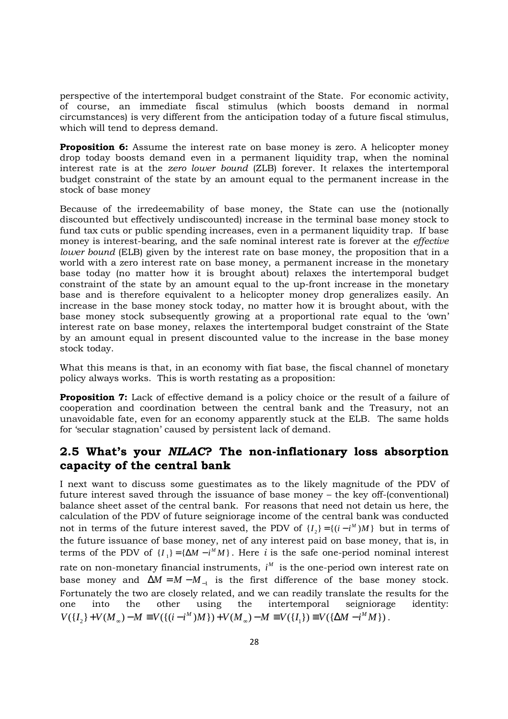perspective of the intertemporal budget constraint of the State. For economic activity, of course, an immediate fiscal stimulus (which boosts demand in normal circumstances) is very different from the anticipation today of a future fiscal stimulus, which will tend to depress demand.

**Proposition 6:** Assume the interest rate on base money is zero. A helicopter money drop today boosts demand even in a permanent liquidity trap, when the nominal interest rate is at the *zero lower bound* (ZLB) forever. It relaxes the intertemporal budget constraint of the state by an amount equal to the permanent increase in the stock of base money

Because of the irredeemability of base money, the State can use the (notionally discounted but effectively undiscounted) increase in the terminal base money stock to fund tax cuts or public spending increases, even in a permanent liquidity trap. If base money is interest-bearing, and the safe nominal interest rate is forever at the *effective lower bound* (ELB) given by the interest rate on base money, the proposition that in a world with a zero interest rate on base money, a permanent increase in the monetary base today (no matter how it is brought about) relaxes the intertemporal budget constraint of the state by an amount equal to the up-front increase in the monetary base and is therefore equivalent to a helicopter money drop generalizes easily. An increase in the base money stock today, no matter how it is brought about, with the base money stock subsequently growing at a proportional rate equal to the 'own' interest rate on base money, relaxes the intertemporal budget constraint of the State by an amount equal in present discounted value to the increase in the base money stock today.

What this means is that, in an economy with fiat base, the fiscal channel of monetary policy always works. This is worth restating as a proposition:

**Proposition 7:** Lack of effective demand is a policy choice or the result of a failure of cooperation and coordination between the central bank and the Treasury, not an unavoidable fate, even for an economy apparently stuck at the ELB. The same holds for 'secular stagnation' caused by persistent lack of demand.

## **2.5 What's your** *NILAC***? The non-inflationary loss absorption capacity of the central bank**

I next want to discuss some guestimates as to the likely magnitude of the PDV of future interest saved through the issuance of base money – the key off-(conventional) balance sheet asset of the central bank. For reasons that need not detain us here, the calculation of the PDV of future seigniorage income of the central bank was conducted not in terms of the future interest saved, the PDV of  $\{I_2\} = \{(i - i^M)M\}$  but in terms of the future issuance of base money, net of any interest paid on base money, that is, in terms of the PDV of  ${I_1}$  = { $\Delta M - i^M M$ }. Here *i* is the safe one-period nominal interest rate on non-monetary financial instruments,  $i^M$  is the one-period own interest rate on base money and  $\Delta M = M - M_{-1}$  is the first difference of the base money stock. Fortunately the two are closely related, and we can readily translate the results for the one into the other using the intertemporal seigniorage identity:  $V({I_2}+V(M_{\infty})-M\equiv V({(i-i^M)M})+V(M_{\infty})-M\equiv V({I_1})\equiv V({\Delta}M-i^M M)$ .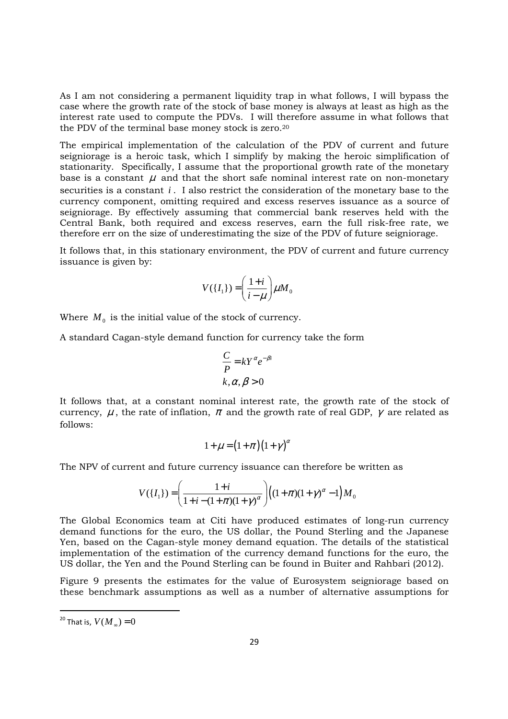As I am not considering a permanent liquidity trap in what follows, I will bypass the case where the growth rate of the stock of base money is always at least as high as the interest rate used to compute the PDVs. I will therefore assume in what follows that the PDV of the terminal base money stock is zero.<sup>20</sup>

The empirical implementation of the calculation of the PDV of current and future seigniorage is a heroic task, which I simplify by making the heroic simplification of stationarity. Specifically, I assume that the proportional growth rate of the monetary base is a constant  $\mu$  and that the short safe nominal interest rate on non-monetary securities is a constant *i* . I also restrict the consideration of the monetary base to the currency component, omitting required and excess reserves issuance as a source of seigniorage. By effectively assuming that commercial bank reserves held with the Central Bank, both required and excess reserves, earn the full risk-free rate, we therefore err on the size of underestimating the size of the PDV of future seigniorage.

It follows that, in this stationary environment, the PDV of current and future currency issuance is given by:

$$
V({I_1}) = \left(\frac{1+i}{i-\mu}\right) \mu M_0
$$

Where  $M_0$  is the initial value of the stock of currency.

A standard Cagan-style demand function for currency take the form

$$
\frac{C}{P} = kY^{\alpha}e^{-\beta i}
$$

$$
k, \alpha, \beta > 0
$$

It follows that, at a constant nominal interest rate, the growth rate of the stock of currency,  $\mu$ , the rate of inflation,  $\pi$  and the growth rate of real GDP,  $\gamma$  are related as follows:

$$
1+\mu = (1+\pi)(1+\gamma)^{\alpha}
$$

The NPV of current and future currency issuance can therefore be written as

$$
V({I_1}) = \left(\frac{1+i}{1+i - (1+\pi)(1+\gamma)^\alpha}\right) ((1+\pi)(1+\gamma)^\alpha - 1) M_0
$$

The Global Economics team at Citi have produced estimates of long-run currency demand functions for the euro, the US dollar, the Pound Sterling and the Japanese Yen, based on the Cagan-style money demand equation. The details of the statistical implementation of the estimation of the currency demand functions for the euro, the US dollar, the Yen and the Pound Sterling can be found in Buiter and Rahbari (2012).

Figure 9 presents the estimates for the value of Eurosystem seigniorage based on these benchmark assumptions as well as a number of alternative assumptions for

.<br>-

<sup>&</sup>lt;sup>20</sup> That is,  $V(M_{\infty}) = 0$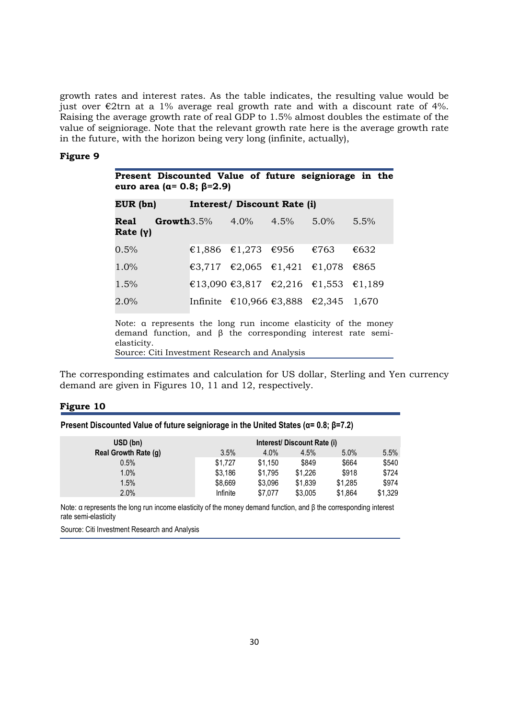growth rates and interest rates. As the table indicates, the resulting value would be just over €2trn at a 1% average real growth rate and with a discount rate of 4%. Raising the average growth rate of real GDP to 1.5% almost doubles the estimate of the value of seigniorage. Note that the relevant growth rate here is the average growth rate in the future, with the horizon being very long (infinite, actually),

#### **Figure 9**

| Present Discounted Value of future seigniorage in the<br>euro area (α= 0.8; β=2.9)                                                                  |                             |                    |  |                                      |         |  |  |
|-----------------------------------------------------------------------------------------------------------------------------------------------------|-----------------------------|--------------------|--|--------------------------------------|---------|--|--|
| EUR(bn)                                                                                                                                             | Interest/ Discount Rate (i) |                    |  |                                      |         |  |  |
| <b>Real Growth</b> 3.5% 4.0% 4.5% 5.0%<br>Rate $(y)$                                                                                                |                             |                    |  |                                      | $5.5\%$ |  |  |
| 0.5%                                                                                                                                                |                             | €1,886 €1,273 €956 |  | €763                                 | €632    |  |  |
| $1.0\%$                                                                                                                                             |                             |                    |  | €3,717 €2,065 €1,421 €1,078 €865     |         |  |  |
| $1.5\%$                                                                                                                                             |                             |                    |  | €13,090 €3,817 €2,216 €1,553 €1,189  |         |  |  |
| $2.0\%$                                                                                                                                             |                             |                    |  | Infinite €10,966 €3,888 €2,345 1,670 |         |  |  |
| Note: a represents the long run income elasticity of the money<br>demand function, and $\beta$ the corresponding interest rate semi-<br>elasticity. |                             |                    |  |                                      |         |  |  |

Source: Citi Investment Research and Analysis

The corresponding estimates and calculation for US dollar, Sterling and Yen currency demand are given in Figures 10, 11 and 12, respectively.

#### **Figure 10**

**Present Discounted Value of future seigniorage in the United States (α= 0.8; β=7.2)** 

| USD(bn)              | Interest/ Discount Rate (i) |         |         |         |         |
|----------------------|-----------------------------|---------|---------|---------|---------|
| Real Growth Rate (g) | 3.5%                        | 4.0%    | 4.5%    | 5.0%    | 5.5%    |
| 0.5%                 | \$1.727                     | \$1.150 | \$849   | \$664   | \$540   |
| 1.0%                 | \$3.186                     | \$1.795 | \$1.226 | \$918   | \$724   |
| 1.5%                 | \$8.669                     | \$3.096 | \$1.839 | \$1.285 | \$974   |
| 2.0%                 | Infinite                    | \$7.077 | \$3.005 | \$1.864 | \$1,329 |

Note: α represents the long run income elasticity of the money demand function, and β the corresponding interest rate semi-elasticity

Source: Citi Investment Research and Analysis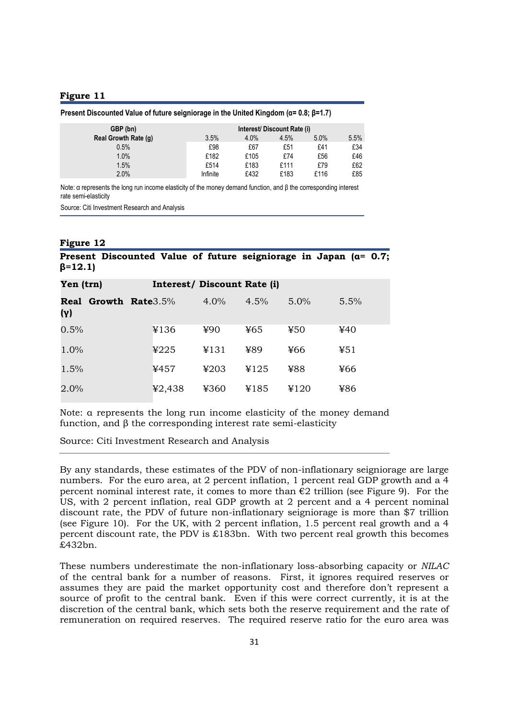#### **Figure 11**

| Present Discounted value of future seigniorage in the United Kingdom ( $\alpha$ = 0.8; $\beta$ =1.7) |      |         |                            |      |      |  |
|------------------------------------------------------------------------------------------------------|------|---------|----------------------------|------|------|--|
| GBP (bn)                                                                                             |      |         | Interest/Discount Rate (i) |      |      |  |
| Real Growth Rate (q)                                                                                 | 3.5% | $4.0\%$ | 4.5%                       | 5.0% | 5.5% |  |
| 0.5%                                                                                                 | £98  | £67     | £51                        | £41  | £34  |  |
| $1.0\%$                                                                                              | £182 | £105    | f74                        | £56  | £46  |  |
| 1.5%                                                                                                 | £514 | £183    | £111                       | £79  | £62  |  |

**Present Discounted Value of future seigniorage in the United Kingdom (α= 0.8; β=1.7)** 

Note: α represents the long run income elasticity of the money demand function, and β the corresponding interest rate semi-elasticity

Source: Citi Investment Research and Analysis

#### **Figure 12**

#### Present Discounted Value of future seigniorage in Japan (a= 0.7; **β=12.1)**

2.0% Infinite £432 £183 £116 £85

| Yen (trn)  |                      | Interest/ Discount Rate (i) |         |         |         |      |
|------------|----------------------|-----------------------------|---------|---------|---------|------|
| $(\gamma)$ | Real Growth Rate3.5% |                             | $4.0\%$ | $4.5\%$ | $5.0\%$ | 5.5% |
| 0.5%       |                      | ¥136                        | ¥90     | ¥65     | ¥50     | ¥40  |
| 1.0%       |                      | 4225                        | ¥131    | ¥89     | ¥66     | ¥51  |
| 1.5%       |                      | ¥457                        | 4203    | ¥125    | ¥88     | ¥66  |
| 2.0%       |                      | ¥2,438                      | ¥360    | ¥185    | ¥120    | ¥86  |

Note: α represents the long run income elasticity of the money demand function, and β the corresponding interest rate semi-elasticity

#### Source: Citi Investment Research and Analysis

By any standards, these estimates of the PDV of non-inflationary seigniorage are large numbers. For the euro area, at 2 percent inflation, 1 percent real GDP growth and a 4 percent nominal interest rate, it comes to more than  $E2$  trillion (see Figure 9). For the US, with 2 percent inflation, real GDP growth at 2 percent and a 4 percent nominal discount rate, the PDV of future non-inflationary seigniorage is more than \$7 trillion (see Figure 10). For the UK, with 2 percent inflation, 1.5 percent real growth and a 4 percent discount rate, the PDV is  $\pounds183bn$ . With two percent real growth this becomes £432bn.

These numbers underestimate the non-inflationary loss-absorbing capacity or *NILAC* of the central bank for a number of reasons. First, it ignores required reserves or assumes they are paid the market opportunity cost and therefore don't represent a source of profit to the central bank. Even if this were correct currently, it is at the discretion of the central bank, which sets both the reserve requirement and the rate of remuneration on required reserves. The required reserve ratio for the euro area was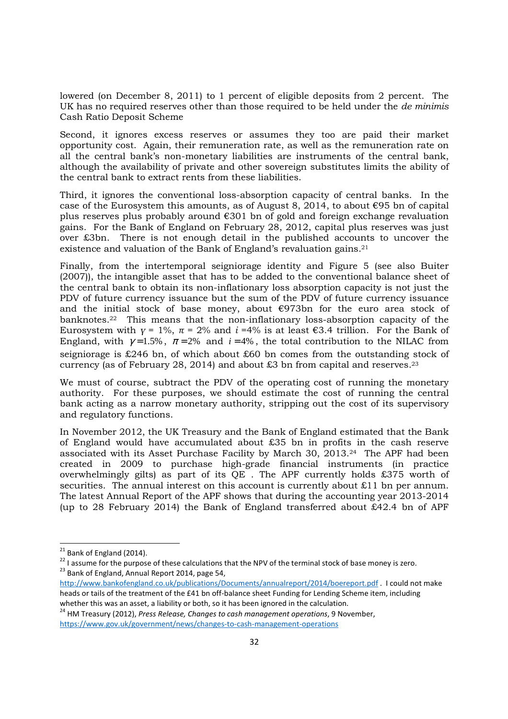lowered (on December 8, 2011) to 1 percent of eligible deposits from 2 percent. The UK has no required reserves other than those required to be held under the *de minimis* Cash Ratio Deposit Scheme

Second, it ignores excess reserves or assumes they too are paid their market opportunity cost. Again, their remuneration rate, as well as the remuneration rate on all the central bank's non-monetary liabilities are instruments of the central bank, although the availability of private and other sovereign substitutes limits the ability of the central bank to extract rents from these liabilities.

Third, it ignores the conventional loss-absorption capacity of central banks. In the case of the Eurosystem this amounts, as of August 8, 2014, to about  $\epsilon$ 95 bn of capital plus reserves plus probably around €301 bn of gold and foreign exchange revaluation gains. For the Bank of England on February 28, 2012, capital plus reserves was just over £3bn. There is not enough detail in the published accounts to uncover the existence and valuation of the Bank of England's revaluation gains.<sup>21</sup>

Finally, from the intertemporal seigniorage identity and Figure 5 (see also Buiter (2007)), the intangible asset that has to be added to the conventional balance sheet of the central bank to obtain its non-inflationary loss absorption capacity is not just the PDV of future currency issuance but the sum of the PDV of future currency issuance and the initial stock of base money, about €973bn for the euro area stock of banknotes.22 This means that the non-inflationary loss-absorption capacity of the Eurosystem with  $y = 1\%$ ,  $\pi = 2\%$  and  $i = 4\%$  is at least €3.4 trillion. For the Bank of England, with  $\gamma = 1.5\%$ ,  $\pi = 2\%$  and  $i = 4\%$ , the total contribution to the NILAC from seigniorage is £246 bn, of which about £60 bn comes from the outstanding stock of currency (as of February 28, 2014) and about £3 bn from capital and reserves.<sup>23</sup>

We must of course, subtract the PDV of the operating cost of running the monetary authority. For these purposes, we should estimate the cost of running the central bank acting as a narrow monetary authority, stripping out the cost of its supervisory and regulatory functions.

In November 2012, the UK Treasury and the Bank of England estimated that the Bank of England would have accumulated about £35 bn in profits in the cash reserve associated with its Asset Purchase Facility by March 30, 2013.24 The APF had been created in 2009 to purchase high-grade financial instruments (in practice overwhelmingly gilts) as part of its QE . The APF currently holds £375 worth of securities. The annual interest on this account is currently about £11 bn per annum. The latest Annual Report of the APF shows that during the accounting year 2013-2014 (up to 28 February 2014) the Bank of England transferred about £42.4 bn of APF

.<br>-

 $21$  Bank of England (2014).

<sup>&</sup>lt;sup>22</sup> I assume for the purpose of these calculations that the NPV of the terminal stock of base money is zero. <sup>23</sup> Bank of England, Annual Report 2014, page 54,

http://www.bankofengland.co.uk/publications/Documents/annualreport/2014/boereport.pdf . I could not make heads or tails of the treatment of the £41 bn off-balance sheet Funding for Lending Scheme item, including whether this was an asset, a liability or both, so it has been ignored in the calculation.

<sup>24</sup> HM Treasury (2012), *Press Release, Changes to cash management operations*, 9 November, https://www.gov.uk/government/news/changes-to-cash-management-operations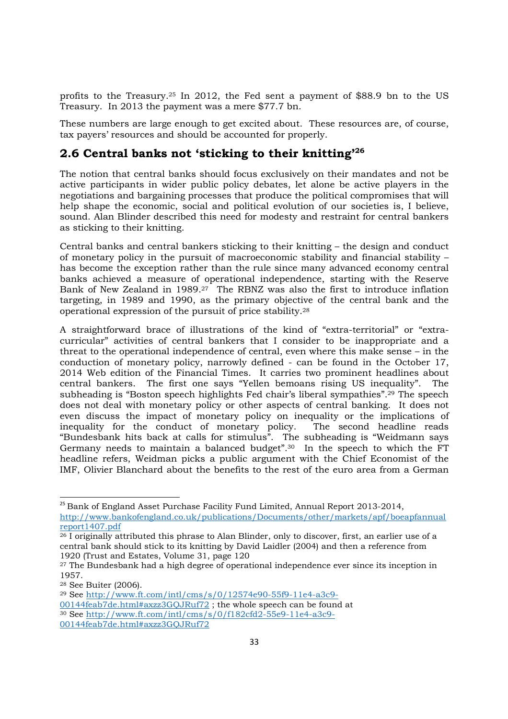profits to the Treasury.25 In 2012, the Fed sent a payment of \$88.9 bn to the US Treasury. In 2013 the payment was a mere \$77.7 bn.

These numbers are large enough to get excited about. These resources are, of course, tax payers' resources and should be accounted for properly.

# **2.6 Central banks not 'sticking to their knitting'<sup>26</sup>**

The notion that central banks should focus exclusively on their mandates and not be active participants in wider public policy debates, let alone be active players in the negotiations and bargaining processes that produce the political compromises that will help shape the economic, social and political evolution of our societies is, I believe, sound. Alan Blinder described this need for modesty and restraint for central bankers as sticking to their knitting.

Central banks and central bankers sticking to their knitting – the design and conduct of monetary policy in the pursuit of macroeconomic stability and financial stability – has become the exception rather than the rule since many advanced economy central banks achieved a measure of operational independence, starting with the Reserve Bank of New Zealand in 1989.27 The RBNZ was also the first to introduce inflation targeting, in 1989 and 1990, as the primary objective of the central bank and the operational expression of the pursuit of price stability.<sup>28</sup>

A straightforward brace of illustrations of the kind of "extra-territorial" or "extracurricular" activities of central bankers that I consider to be inappropriate and a threat to the operational independence of central, even where this make sense – in the conduction of monetary policy, narrowly defined - can be found in the October 17, 2014 Web edition of the Financial Times. It carries two prominent headlines about central bankers. The first one says "Yellen bemoans rising US inequality". The subheading is "Boston speech highlights Fed chair's liberal sympathies".29 The speech does not deal with monetary policy or other aspects of central banking. It does not even discuss the impact of monetary policy on inequality or the implications of inequality for the conduct of monetary policy. The second headline reads "Bundesbank hits back at calls for stimulus". The subheading is "Weidmann says Germany needs to maintain a balanced budget".30 In the speech to which the FT headline refers, Weidman picks a public argument with the Chief Economist of the IMF, Olivier Blanchard about the benefits to the rest of the euro area from a German

 $^{25}$  Bank of England Asset Purchase Facility Fund Limited, Annual Report 2013-2014, http://www.bankofengland.co.uk/publications/Documents/other/markets/apf/boeapfannual report1407.pdf

<sup>26</sup> I originally attributed this phrase to Alan Blinder, only to discover, first, an earlier use of a central bank should stick to its knitting by David Laidler (2004) and then a reference from 1920 (Trust and Estates, Volume 31, page 120

 $27$  The Bundesbank had a high degree of operational independence ever since its inception in 1957.

<sup>28</sup> See Buiter (2006).

<sup>29</sup> See http://www.ft.com/intl/cms/s/0/12574e90-55f9-11e4-a3c9- 00144feab7de.html#axzz3GQJRuf72 ; the whole speech can be found at <sup>30</sup> See http://www.ft.com/intl/cms/s/0/f182cfd2-55e9-11e4-a3c9- 00144feab7de.html#axzz3GQJRuf72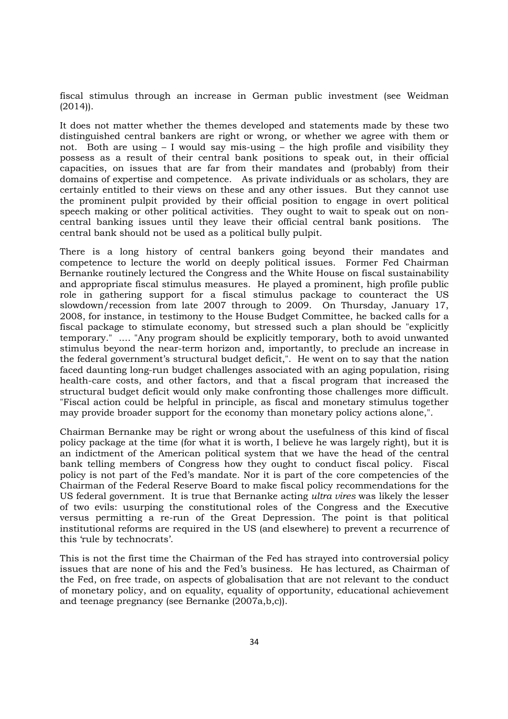fiscal stimulus through an increase in German public investment (see Weidman (2014)).

It does not matter whether the themes developed and statements made by these two distinguished central bankers are right or wrong, or whether we agree with them or not. Both are using – I would say mis-using – the high profile and visibility they possess as a result of their central bank positions to speak out, in their official capacities, on issues that are far from their mandates and (probably) from their domains of expertise and competence. As private individuals or as scholars, they are certainly entitled to their views on these and any other issues. But they cannot use the prominent pulpit provided by their official position to engage in overt political speech making or other political activities. They ought to wait to speak out on noncentral banking issues until they leave their official central bank positions. The central bank should not be used as a political bully pulpit.

There is a long history of central bankers going beyond their mandates and competence to lecture the world on deeply political issues. Former Fed Chairman Bernanke routinely lectured the Congress and the White House on fiscal sustainability and appropriate fiscal stimulus measures. He played a prominent, high profile public role in gathering support for a fiscal stimulus package to counteract the US slowdown/recession from late 2007 through to 2009. On Thursday, January 17, 2008, for instance, in testimony to the House Budget Committee, he backed calls for a fiscal package to stimulate economy, but stressed such a plan should be "explicitly temporary." .… "Any program should be explicitly temporary, both to avoid unwanted stimulus beyond the near-term horizon and, importantly, to preclude an increase in the federal government's structural budget deficit,". He went on to say that the nation faced daunting long-run budget challenges associated with an aging population, rising health-care costs, and other factors, and that a fiscal program that increased the structural budget deficit would only make confronting those challenges more difficult. "Fiscal action could be helpful in principle, as fiscal and monetary stimulus together may provide broader support for the economy than monetary policy actions alone,".

Chairman Bernanke may be right or wrong about the usefulness of this kind of fiscal policy package at the time (for what it is worth, I believe he was largely right), but it is an indictment of the American political system that we have the head of the central bank telling members of Congress how they ought to conduct fiscal policy. Fiscal policy is not part of the Fed's mandate. Nor it is part of the core competencies of the Chairman of the Federal Reserve Board to make fiscal policy recommendations for the US federal government. It is true that Bernanke acting *ultra vires* was likely the lesser of two evils: usurping the constitutional roles of the Congress and the Executive versus permitting a re-run of the Great Depression. The point is that political institutional reforms are required in the US (and elsewhere) to prevent a recurrence of this 'rule by technocrats'.

This is not the first time the Chairman of the Fed has strayed into controversial policy issues that are none of his and the Fed's business. He has lectured, as Chairman of the Fed, on free trade, on aspects of globalisation that are not relevant to the conduct of monetary policy, and on equality, equality of opportunity, educational achievement and teenage pregnancy (see Bernanke (2007a,b,c)).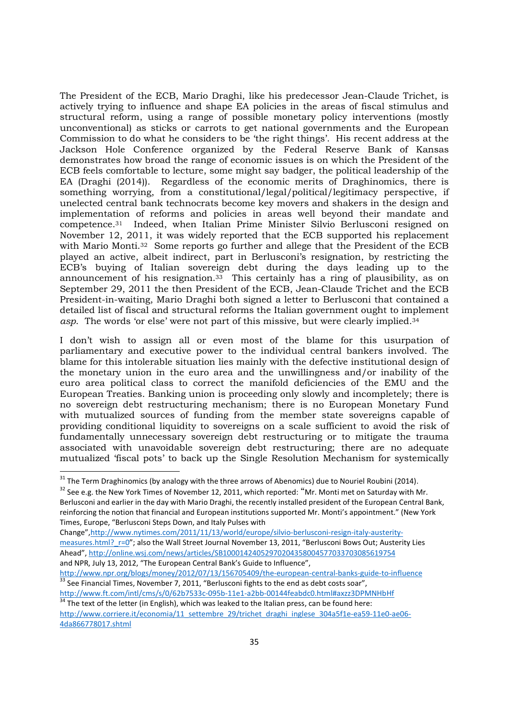The President of the ECB, Mario Draghi, like his predecessor Jean-Claude Trichet, is actively trying to influence and shape EA policies in the areas of fiscal stimulus and structural reform, using a range of possible monetary policy interventions (mostly unconventional) as sticks or carrots to get national governments and the European Commission to do what he considers to be 'the right things'. His recent address at the Jackson Hole Conference organized by the Federal Reserve Bank of Kansas demonstrates how broad the range of economic issues is on which the President of the ECB feels comfortable to lecture, some might say badger, the political leadership of the EA (Draghi (2014)). Regardless of the economic merits of Draghinomics, there is something worrying, from a constitutional/legal/political/legitimacy perspective, if unelected central bank technocrats become key movers and shakers in the design and implementation of reforms and policies in areas well beyond their mandate and competence.31 Indeed, when Italian Prime Minister Silvio Berlusconi resigned on November 12, 2011, it was widely reported that the ECB supported his replacement with Mario Monti.32 Some reports go further and allege that the President of the ECB played an active, albeit indirect, part in Berlusconi's resignation, by restricting the ECB's buying of Italian sovereign debt during the days leading up to the announcement of his resignation.<sup>33</sup> This certainly has a ring of plausibility, as on September 29, 2011 the then President of the ECB, Jean-Claude Trichet and the ECB President-in-waiting, Mario Draghi both signed a letter to Berlusconi that contained a detailed list of fiscal and structural reforms the Italian government ought to implement *asp*. The words 'or else' were not part of this missive, but were clearly implied.<sup>34</sup>

I don't wish to assign all or even most of the blame for this usurpation of parliamentary and executive power to the individual central bankers involved. The blame for this intolerable situation lies mainly with the defective institutional design of the monetary union in the euro area and the unwillingness and/or inability of the euro area political class to correct the manifold deficiencies of the EMU and the European Treaties. Banking union is proceeding only slowly and incompletely; there is no sovereign debt restructuring mechanism; there is no European Monetary Fund with mutualized sources of funding from the member state sovereigns capable of providing conditional liquidity to sovereigns on a scale sufficient to avoid the risk of fundamentally unnecessary sovereign debt restructuring or to mitigate the trauma associated with unavoidable sovereign debt restructuring; there are no adequate mutualized 'fiscal pots' to back up the Single Resolution Mechanism for systemically

<sup>32</sup> See e.g. the New York Times of November 12, 2011, which reported: "Mr. Monti met on Saturday with Mr. Berlusconi and earlier in the day with Mario Draghi, the recently installed president of the European Central Bank, reinforcing the notion that financial and European institutions supported Mr. Monti's appointment." (New York Times, Europe, "Berlusconi Steps Down, and Italy Pulses with

- Change",http://www.nytimes.com/2011/11/13/world/europe/silvio-berlusconi-resign-italy-austeritymeasures.html? r=0"; also the Wall Street Journal November 13, 2011, "Berlusconi Bows Out; Austerity Lies Ahead", http://online.wsj.com/news/articles/SB10001424052970204358004577033703085619754 and NPR, July 13, 2012, "The European Central Bank's Guide to Influence",
- http://www.npr.org/blogs/money/2012/07/13/156705409/the-european-central-banks-guide-to-influence  $\frac{33}{33}$  See Financial Times, November 7, 2011, "Berlusconi fights to the end as debt costs soar",

4da866778017.shtml

<u>.</u>

 $31$  The Term Draghinomics (by analogy with the three arrows of Abenomics) due to Nouriel Roubini (2014).

http://www.ft.com/intl/cms/s/0/62b7533c-095b-11e1-a2bb-00144feabdc0.html#axzz3DPMNHbHf <sup>34</sup> The text of the letter (in English), which was leaked to the Italian press, can be found here: http://www.corriere.it/economia/11\_settembre\_29/trichet\_draghi\_inglese\_304a5f1e-ea59-11e0-ae06-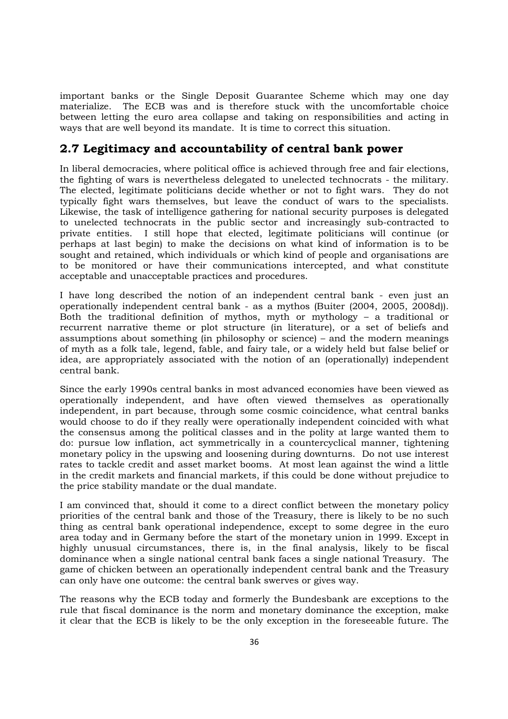important banks or the Single Deposit Guarantee Scheme which may one day materialize. The ECB was and is therefore stuck with the uncomfortable choice between letting the euro area collapse and taking on responsibilities and acting in ways that are well beyond its mandate. It is time to correct this situation.

## **2.7 Legitimacy and accountability of central bank power**

In liberal democracies, where political office is achieved through free and fair elections, the fighting of wars is nevertheless delegated to unelected technocrats - the military. The elected, legitimate politicians decide whether or not to fight wars. They do not typically fight wars themselves, but leave the conduct of wars to the specialists. Likewise, the task of intelligence gathering for national security purposes is delegated to unelected technocrats in the public sector and increasingly sub-contracted to private entities. I still hope that elected, legitimate politicians will continue (or perhaps at last begin) to make the decisions on what kind of information is to be sought and retained, which individuals or which kind of people and organisations are to be monitored or have their communications intercepted, and what constitute acceptable and unacceptable practices and procedures.

I have long described the notion of an independent central bank - even just an operationally independent central bank - as a mythos (Buiter (2004, 2005, 2008d)). Both the traditional definition of mythos, myth or mythology – a traditional or recurrent narrative theme or plot structure (in literature), or a set of beliefs and assumptions about something (in philosophy or science) – and the modern meanings of myth as a folk tale, legend, fable, and fairy tale, or a widely held but false belief or idea, are appropriately associated with the notion of an (operationally) independent central bank.

Since the early 1990s central banks in most advanced economies have been viewed as operationally independent, and have often viewed themselves as operationally independent, in part because, through some cosmic coincidence, what central banks would choose to do if they really were operationally independent coincided with what the consensus among the political classes and in the polity at large wanted them to do: pursue low inflation, act symmetrically in a countercyclical manner, tightening monetary policy in the upswing and loosening during downturns. Do not use interest rates to tackle credit and asset market booms. At most lean against the wind a little in the credit markets and financial markets, if this could be done without prejudice to the price stability mandate or the dual mandate.

I am convinced that, should it come to a direct conflict between the monetary policy priorities of the central bank and those of the Treasury, there is likely to be no such thing as central bank operational independence, except to some degree in the euro area today and in Germany before the start of the monetary union in 1999. Except in highly unusual circumstances, there is, in the final analysis, likely to be fiscal dominance when a single national central bank faces a single national Treasury. The game of chicken between an operationally independent central bank and the Treasury can only have one outcome: the central bank swerves or gives way.

The reasons why the ECB today and formerly the Bundesbank are exceptions to the rule that fiscal dominance is the norm and monetary dominance the exception, make it clear that the ECB is likely to be the only exception in the foreseeable future. The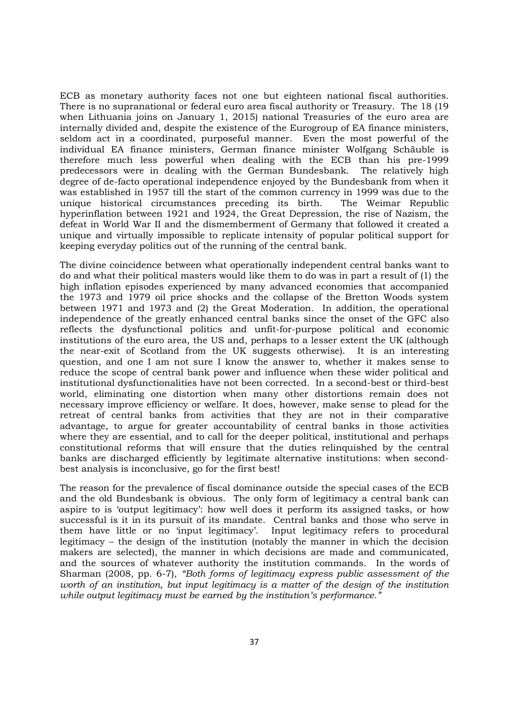ECB as monetary authority faces not one but eighteen national fiscal authorities. There is no supranational or federal euro area fiscal authority or Treasury. The 18 (19 when Lithuania joins on January 1, 2015) national Treasuries of the euro area are internally divided and, despite the existence of the Eurogroup of EA finance ministers, seldom act in a coordinated, purposeful manner. Even the most powerful of the individual EA finance ministers, German finance minister Wolfgang Schäuble is therefore much less powerful when dealing with the ECB than his pre-1999 predecessors were in dealing with the German Bundesbank. The relatively high degree of de-facto operational independence enjoyed by the Bundesbank from when it was established in 1957 till the start of the common currency in 1999 was due to the unique historical circumstances preceding its birth. The Weimar Republic hyperinflation between 1921 and 1924, the Great Depression, the rise of Nazism, the defeat in World War II and the dismemberment of Germany that followed it created a unique and virtually impossible to replicate intensity of popular political support for keeping everyday politics out of the running of the central bank.

The divine coincidence between what operationally independent central banks want to do and what their political masters would like them to do was in part a result of (1) the high inflation episodes experienced by many advanced economies that accompanied the 1973 and 1979 oil price shocks and the collapse of the Bretton Woods system between 1971 and 1973 and (2) the Great Moderation. In addition, the operational independence of the greatly enhanced central banks since the onset of the GFC also reflects the dysfunctional politics and unfit-for-purpose political and economic institutions of the euro area, the US and, perhaps to a lesser extent the UK (although the near-exit of Scotland from the UK suggests otherwise). It is an interesting question, and one I am not sure I know the answer to, whether it makes sense to reduce the scope of central bank power and influence when these wider political and institutional dysfunctionalities have not been corrected. In a second-best or third-best world, eliminating one distortion when many other distortions remain does not necessary improve efficiency or welfare. It does, however, make sense to plead for the retreat of central banks from activities that they are not in their comparative advantage, to argue for greater accountability of central banks in those activities where they are essential, and to call for the deeper political, institutional and perhaps constitutional reforms that will ensure that the duties relinquished by the central banks are discharged efficiently by legitimate alternative institutions: when secondbest analysis is inconclusive, go for the first best!

The reason for the prevalence of fiscal dominance outside the special cases of the ECB and the old Bundesbank is obvious. The only form of legitimacy a central bank can aspire to is 'output legitimacy': how well does it perform its assigned tasks, or how successful is it in its pursuit of its mandate. Central banks and those who serve in them have little or no 'input legitimacy'. Input legitimacy refers to procedural legitimacy – the design of the institution (notably the manner in which the decision makers are selected), the manner in which decisions are made and communicated, and the sources of whatever authority the institution commands. In the words of Sharman (2008, pp. 6-7), *"Both forms of legitimacy express public assessment of the worth of an institution, but input legitimacy is a matter of the design of the institution while output legitimacy must be earned by the institution's performance."*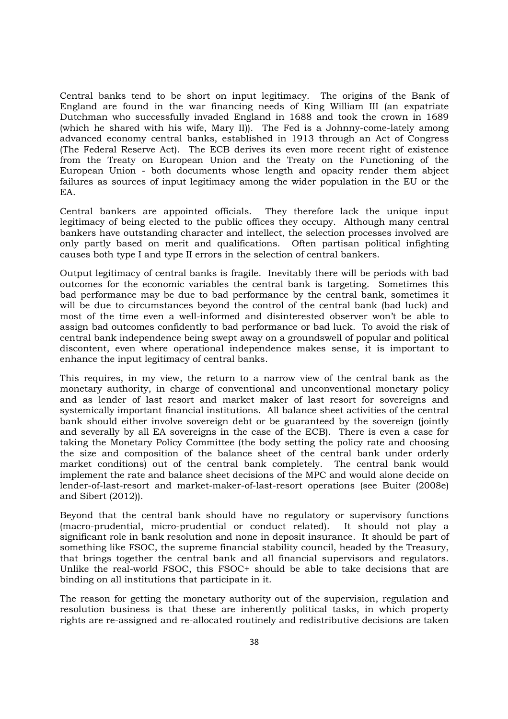Central banks tend to be short on input legitimacy. The origins of the Bank of England are found in the war financing needs of King William III (an expatriate Dutchman who successfully invaded England in 1688 and took the crown in 1689 (which he shared with his wife, Mary II)). The Fed is a Johnny-come-lately among advanced economy central banks, established in 1913 through an Act of Congress (The Federal Reserve Act). The ECB derives its even more recent right of existence from the Treaty on European Union and the Treaty on the Functioning of the European Union - both documents whose length and opacity render them abject failures as sources of input legitimacy among the wider population in the EU or the EA.

Central bankers are appointed officials. They therefore lack the unique input legitimacy of being elected to the public offices they occupy. Although many central bankers have outstanding character and intellect, the selection processes involved are only partly based on merit and qualifications. Often partisan political infighting causes both type I and type II errors in the selection of central bankers.

Output legitimacy of central banks is fragile. Inevitably there will be periods with bad outcomes for the economic variables the central bank is targeting. Sometimes this bad performance may be due to bad performance by the central bank, sometimes it will be due to circumstances beyond the control of the central bank (bad luck) and most of the time even a well-informed and disinterested observer won't be able to assign bad outcomes confidently to bad performance or bad luck. To avoid the risk of central bank independence being swept away on a groundswell of popular and political discontent, even where operational independence makes sense, it is important to enhance the input legitimacy of central banks.

This requires, in my view, the return to a narrow view of the central bank as the monetary authority, in charge of conventional and unconventional monetary policy and as lender of last resort and market maker of last resort for sovereigns and systemically important financial institutions. All balance sheet activities of the central bank should either involve sovereign debt or be guaranteed by the sovereign (jointly and severally by all EA sovereigns in the case of the ECB). There is even a case for taking the Monetary Policy Committee (the body setting the policy rate and choosing the size and composition of the balance sheet of the central bank under orderly market conditions) out of the central bank completely. The central bank would implement the rate and balance sheet decisions of the MPC and would alone decide on lender-of-last-resort and market-maker-of-last-resort operations (see Buiter (2008e) and Sibert (2012)).

Beyond that the central bank should have no regulatory or supervisory functions (macro-prudential, micro-prudential or conduct related). It should not play a significant role in bank resolution and none in deposit insurance. It should be part of something like FSOC, the supreme financial stability council, headed by the Treasury, that brings together the central bank and all financial supervisors and regulators. Unlike the real-world FSOC, this FSOC+ should be able to take decisions that are binding on all institutions that participate in it.

The reason for getting the monetary authority out of the supervision, regulation and resolution business is that these are inherently political tasks, in which property rights are re-assigned and re-allocated routinely and redistributive decisions are taken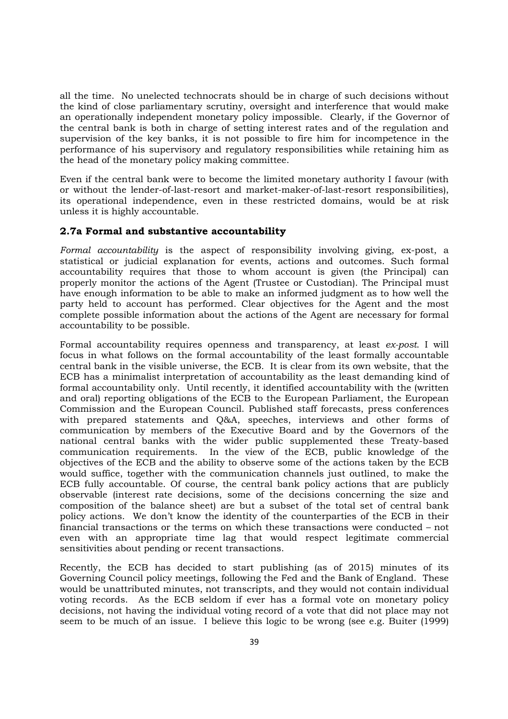all the time. No unelected technocrats should be in charge of such decisions without the kind of close parliamentary scrutiny, oversight and interference that would make an operationally independent monetary policy impossible. Clearly, if the Governor of the central bank is both in charge of setting interest rates and of the regulation and supervision of the key banks, it is not possible to fire him for incompetence in the performance of his supervisory and regulatory responsibilities while retaining him as the head of the monetary policy making committee.

Even if the central bank were to become the limited monetary authority I favour (with or without the lender-of-last-resort and market-maker-of-last-resort responsibilities), its operational independence, even in these restricted domains, would be at risk unless it is highly accountable.

#### **2.7a Formal and substantive accountability**

*Formal accountability* is the aspect of responsibility involving giving, ex-post, a statistical or judicial explanation for events, actions and outcomes. Such formal accountability requires that those to whom account is given (the Principal) can properly monitor the actions of the Agent (Trustee or Custodian). The Principal must have enough information to be able to make an informed judgment as to how well the party held to account has performed. Clear objectives for the Agent and the most complete possible information about the actions of the Agent are necessary for formal accountability to be possible.

Formal accountability requires openness and transparency, at least *ex-post*. I will focus in what follows on the formal accountability of the least formally accountable central bank in the visible universe, the ECB. It is clear from its own website, that the ECB has a minimalist interpretation of accountability as the least demanding kind of formal accountability only. Until recently, it identified accountability with the (written and oral) reporting obligations of the ECB to the European Parliament, the European Commission and the European Council. Published staff forecasts, press conferences with prepared statements and Q&A, speeches, interviews and other forms of communication by members of the Executive Board and by the Governors of the national central banks with the wider public supplemented these Treaty-based communication requirements. In the view of the ECB, public knowledge of the objectives of the ECB and the ability to observe some of the actions taken by the ECB would suffice, together with the communication channels just outlined, to make the ECB fully accountable. Of course, the central bank policy actions that are publicly observable (interest rate decisions, some of the decisions concerning the size and composition of the balance sheet) are but a subset of the total set of central bank policy actions. We don't know the identity of the counterparties of the ECB in their financial transactions or the terms on which these transactions were conducted – not even with an appropriate time lag that would respect legitimate commercial sensitivities about pending or recent transactions.

Recently, the ECB has decided to start publishing (as of 2015) minutes of its Governing Council policy meetings, following the Fed and the Bank of England. These would be unattributed minutes, not transcripts, and they would not contain individual voting records. As the ECB seldom if ever has a formal vote on monetary policy decisions, not having the individual voting record of a vote that did not place may not seem to be much of an issue. I believe this logic to be wrong (see e.g. Buiter (1999)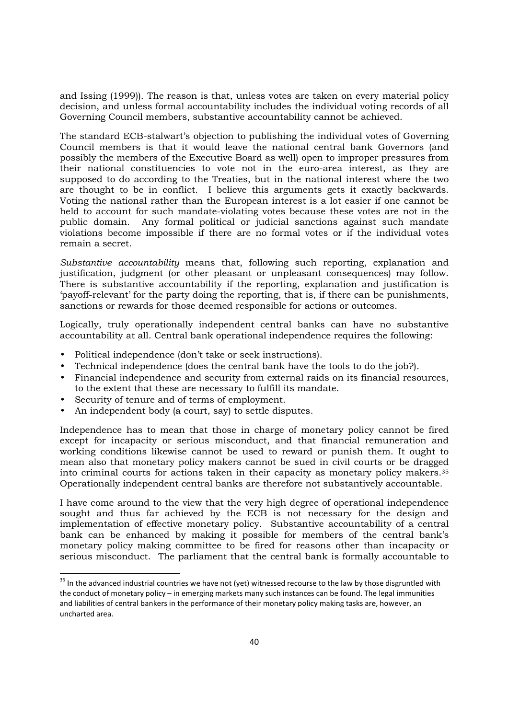and Issing (1999)). The reason is that, unless votes are taken on every material policy decision, and unless formal accountability includes the individual voting records of all Governing Council members, substantive accountability cannot be achieved.

The standard ECB-stalwart's objection to publishing the individual votes of Governing Council members is that it would leave the national central bank Governors (and possibly the members of the Executive Board as well) open to improper pressures from their national constituencies to vote not in the euro-area interest, as they are supposed to do according to the Treaties, but in the national interest where the two are thought to be in conflict. I believe this arguments gets it exactly backwards. Voting the national rather than the European interest is a lot easier if one cannot be held to account for such mandate-violating votes because these votes are not in the public domain. Any formal political or judicial sanctions against such mandate violations become impossible if there are no formal votes or if the individual votes remain a secret.

*Substantive accountability* means that, following such reporting, explanation and justification, judgment (or other pleasant or unpleasant consequences) may follow. There is substantive accountability if the reporting, explanation and justification is 'payoff-relevant' for the party doing the reporting, that is, if there can be punishments, sanctions or rewards for those deemed responsible for actions or outcomes.

Logically, truly operationally independent central banks can have no substantive accountability at all. Central bank operational independence requires the following:

- Political independence (don't take or seek instructions).
- Technical independence (does the central bank have the tools to do the job?).
- Financial independence and security from external raids on its financial resources, to the extent that these are necessary to fulfill its mandate.
- Security of tenure and of terms of employment.

<u>.</u>

• An independent body (a court, say) to settle disputes.

Independence has to mean that those in charge of monetary policy cannot be fired except for incapacity or serious misconduct, and that financial remuneration and working conditions likewise cannot be used to reward or punish them. It ought to mean also that monetary policy makers cannot be sued in civil courts or be dragged into criminal courts for actions taken in their capacity as monetary policy makers.<sup>35</sup> Operationally independent central banks are therefore not substantively accountable.

I have come around to the view that the very high degree of operational independence sought and thus far achieved by the ECB is not necessary for the design and implementation of effective monetary policy. Substantive accountability of a central bank can be enhanced by making it possible for members of the central bank's monetary policy making committee to be fired for reasons other than incapacity or serious misconduct. The parliament that the central bank is formally accountable to

 $35$  In the advanced industrial countries we have not (yet) witnessed recourse to the law by those disgruntled with the conduct of monetary policy – in emerging markets many such instances can be found. The legal immunities and liabilities of central bankers in the performance of their monetary policy making tasks are, however, an uncharted area.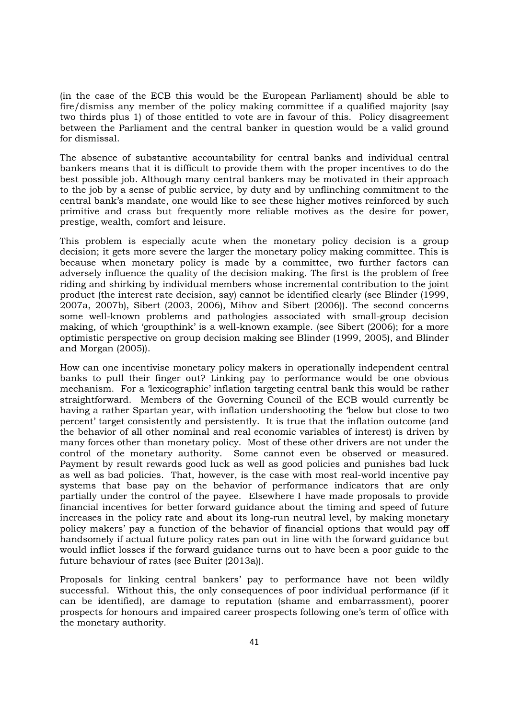(in the case of the ECB this would be the European Parliament) should be able to fire/dismiss any member of the policy making committee if a qualified majority (say two thirds plus 1) of those entitled to vote are in favour of this. Policy disagreement between the Parliament and the central banker in question would be a valid ground for dismissal.

The absence of substantive accountability for central banks and individual central bankers means that it is difficult to provide them with the proper incentives to do the best possible job. Although many central bankers may be motivated in their approach to the job by a sense of public service, by duty and by unflinching commitment to the central bank's mandate, one would like to see these higher motives reinforced by such primitive and crass but frequently more reliable motives as the desire for power, prestige, wealth, comfort and leisure.

This problem is especially acute when the monetary policy decision is a group decision; it gets more severe the larger the monetary policy making committee. This is because when monetary policy is made by a committee, two further factors can adversely influence the quality of the decision making. The first is the problem of free riding and shirking by individual members whose incremental contribution to the joint product (the interest rate decision, say) cannot be identified clearly (see Blinder (1999, 2007a, 2007b), Sibert (2003, 2006), Mihov and Sibert (2006)). The second concerns some well-known problems and pathologies associated with small-group decision making, of which 'groupthink' is a well-known example. (see Sibert (2006); for a more optimistic perspective on group decision making see Blinder (1999, 2005), and Blinder and Morgan (2005)).

How can one incentivise monetary policy makers in operationally independent central banks to pull their finger out? Linking pay to performance would be one obvious mechanism. For a 'lexicographic' inflation targeting central bank this would be rather straightforward. Members of the Governing Council of the ECB would currently be having a rather Spartan year, with inflation undershooting the 'below but close to two percent' target consistently and persistently. It is true that the inflation outcome (and the behavior of all other nominal and real economic variables of interest) is driven by many forces other than monetary policy. Most of these other drivers are not under the control of the monetary authority. Some cannot even be observed or measured. Payment by result rewards good luck as well as good policies and punishes bad luck as well as bad policies. That, however, is the case with most real-world incentive pay systems that base pay on the behavior of performance indicators that are only partially under the control of the payee. Elsewhere I have made proposals to provide financial incentives for better forward guidance about the timing and speed of future increases in the policy rate and about its long-run neutral level, by making monetary policy makers' pay a function of the behavior of financial options that would pay off handsomely if actual future policy rates pan out in line with the forward guidance but would inflict losses if the forward guidance turns out to have been a poor guide to the future behaviour of rates (see Buiter (2013a)).

Proposals for linking central bankers' pay to performance have not been wildly successful. Without this, the only consequences of poor individual performance (if it can be identified), are damage to reputation (shame and embarrassment), poorer prospects for honours and impaired career prospects following one's term of office with the monetary authority.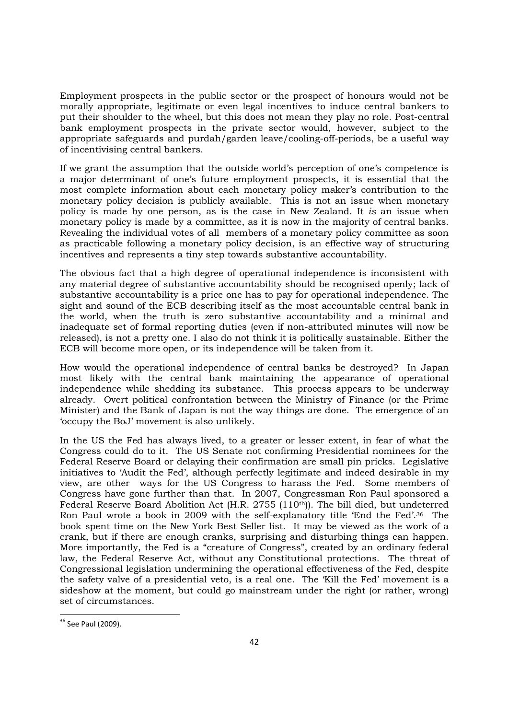Employment prospects in the public sector or the prospect of honours would not be morally appropriate, legitimate or even legal incentives to induce central bankers to put their shoulder to the wheel, but this does not mean they play no role. Post-central bank employment prospects in the private sector would, however, subject to the appropriate safeguards and purdah/garden leave/cooling-off-periods, be a useful way of incentivising central bankers.

If we grant the assumption that the outside world's perception of one's competence is a major determinant of one's future employment prospects, it is essential that the most complete information about each monetary policy maker's contribution to the monetary policy decision is publicly available. This is not an issue when monetary policy is made by one person, as is the case in New Zealand. It *is* an issue when monetary policy is made by a committee, as it is now in the majority of central banks. Revealing the individual votes of all members of a monetary policy committee as soon as practicable following a monetary policy decision, is an effective way of structuring incentives and represents a tiny step towards substantive accountability.

The obvious fact that a high degree of operational independence is inconsistent with any material degree of substantive accountability should be recognised openly; lack of substantive accountability is a price one has to pay for operational independence. The sight and sound of the ECB describing itself as the most accountable central bank in the world, when the truth is zero substantive accountability and a minimal and inadequate set of formal reporting duties (even if non-attributed minutes will now be released), is not a pretty one. I also do not think it is politically sustainable. Either the ECB will become more open, or its independence will be taken from it.

How would the operational independence of central banks be destroyed? In Japan most likely with the central bank maintaining the appearance of operational independence while shedding its substance. This process appears to be underway already. Overt political confrontation between the Ministry of Finance (or the Prime Minister) and the Bank of Japan is not the way things are done. The emergence of an 'occupy the BoJ' movement is also unlikely.

In the US the Fed has always lived, to a greater or lesser extent, in fear of what the Congress could do to it. The US Senate not confirming Presidential nominees for the Federal Reserve Board or delaying their confirmation are small pin pricks. Legislative initiatives to 'Audit the Fed', although perfectly legitimate and indeed desirable in my view, are other ways for the US Congress to harass the Fed. Some members of Congress have gone further than that. In 2007, Congressman Ron Paul sponsored a Federal Reserve Board Abolition Act (H.R. 2755 (110th)). The bill died, but undeterred Ron Paul wrote a book in 2009 with the self-explanatory title 'End the Fed'.<sup>36</sup> The book spent time on the New York Best Seller list. It may be viewed as the work of a crank, but if there are enough cranks, surprising and disturbing things can happen. More importantly, the Fed is a "creature of Congress", created by an ordinary federal law, the Federal Reserve Act, without any Constitutional protections. The threat of Congressional legislation undermining the operational effectiveness of the Fed, despite the safety valve of a presidential veto, is a real one. The 'Kill the Fed' movement is a sideshow at the moment, but could go mainstream under the right (or rather, wrong) set of circumstances.

.<br>-

<sup>&</sup>lt;sup>36</sup> See Paul (2009).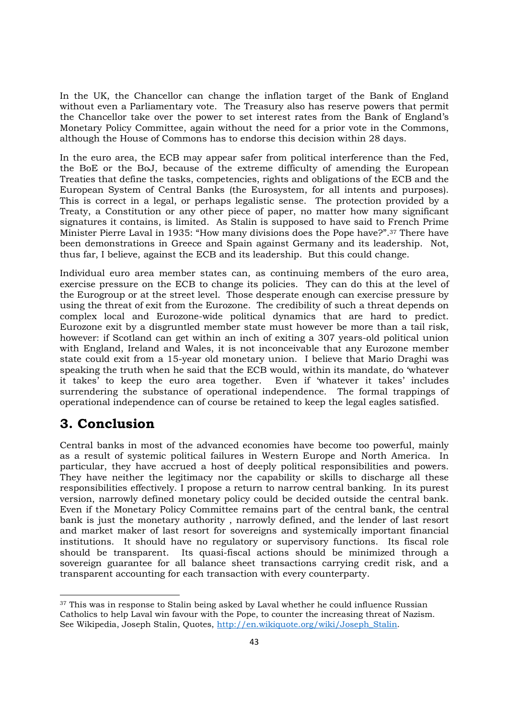In the UK, the Chancellor can change the inflation target of the Bank of England without even a Parliamentary vote. The Treasury also has reserve powers that permit the Chancellor take over the power to set interest rates from the Bank of England's Monetary Policy Committee, again without the need for a prior vote in the Commons, although the House of Commons has to endorse this decision within 28 days.

In the euro area, the ECB may appear safer from political interference than the Fed, the BoE or the BoJ, because of the extreme difficulty of amending the European Treaties that define the tasks, competencies, rights and obligations of the ECB and the European System of Central Banks (the Eurosystem, for all intents and purposes). This is correct in a legal, or perhaps legalistic sense. The protection provided by a Treaty, a Constitution or any other piece of paper, no matter how many significant signatures it contains, is limited. As Stalin is supposed to have said to French Prime Minister Pierre Laval in 1935: "How many divisions does the Pope have?".37 There have been demonstrations in Greece and Spain against Germany and its leadership. Not, thus far, I believe, against the ECB and its leadership. But this could change.

Individual euro area member states can, as continuing members of the euro area, exercise pressure on the ECB to change its policies. They can do this at the level of the Eurogroup or at the street level. Those desperate enough can exercise pressure by using the threat of exit from the Eurozone. The credibility of such a threat depends on complex local and Eurozone-wide political dynamics that are hard to predict. Eurozone exit by a disgruntled member state must however be more than a tail risk, however: if Scotland can get within an inch of exiting a 307 years-old political union with England, Ireland and Wales, it is not inconceivable that any Eurozone member state could exit from a 15-year old monetary union. I believe that Mario Draghi was speaking the truth when he said that the ECB would, within its mandate, do 'whatever it takes' to keep the euro area together. Even if 'whatever it takes' includes surrendering the substance of operational independence. The formal trappings of operational independence can of course be retained to keep the legal eagles satisfied.

# **3. Conclusion**

<u>.</u>

Central banks in most of the advanced economies have become too powerful, mainly as a result of systemic political failures in Western Europe and North America. In particular, they have accrued a host of deeply political responsibilities and powers. They have neither the legitimacy nor the capability or skills to discharge all these responsibilities effectively. I propose a return to narrow central banking. In its purest version, narrowly defined monetary policy could be decided outside the central bank. Even if the Monetary Policy Committee remains part of the central bank, the central bank is just the monetary authority , narrowly defined, and the lender of last resort and market maker of last resort for sovereigns and systemically important financial institutions. It should have no regulatory or supervisory functions. Its fiscal role should be transparent. Its quasi-fiscal actions should be minimized through a sovereign guarantee for all balance sheet transactions carrying credit risk, and a transparent accounting for each transaction with every counterparty.

<sup>&</sup>lt;sup>37</sup> This was in response to Stalin being asked by Laval whether he could influence Russian Catholics to help Laval win favour with the Pope, to counter the increasing threat of Nazism. See Wikipedia, Joseph Stalin, Quotes, http://en.wikiquote.org/wiki/Joseph\_Stalin.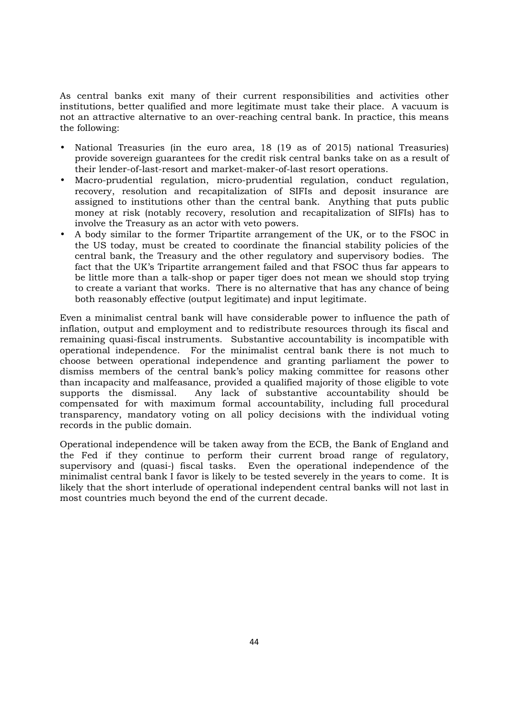As central banks exit many of their current responsibilities and activities other institutions, better qualified and more legitimate must take their place. A vacuum is not an attractive alternative to an over-reaching central bank. In practice, this means the following:

- National Treasuries (in the euro area, 18 (19 as of 2015) national Treasuries) provide sovereign guarantees for the credit risk central banks take on as a result of their lender-of-last-resort and market-maker-of-last resort operations.
- Macro-prudential regulation, micro-prudential regulation, conduct regulation, recovery, resolution and recapitalization of SIFIs and deposit insurance are assigned to institutions other than the central bank. Anything that puts public money at risk (notably recovery, resolution and recapitalization of SIFIs) has to involve the Treasury as an actor with veto powers.
- A body similar to the former Tripartite arrangement of the UK, or to the FSOC in the US today, must be created to coordinate the financial stability policies of the central bank, the Treasury and the other regulatory and supervisory bodies. The fact that the UK's Tripartite arrangement failed and that FSOC thus far appears to be little more than a talk-shop or paper tiger does not mean we should stop trying to create a variant that works. There is no alternative that has any chance of being both reasonably effective (output legitimate) and input legitimate.

Even a minimalist central bank will have considerable power to influence the path of inflation, output and employment and to redistribute resources through its fiscal and remaining quasi-fiscal instruments. Substantive accountability is incompatible with operational independence. For the minimalist central bank there is not much to choose between operational independence and granting parliament the power to dismiss members of the central bank's policy making committee for reasons other than incapacity and malfeasance, provided a qualified majority of those eligible to vote supports the dismissal. Any lack of substantive accountability should be compensated for with maximum formal accountability, including full procedural transparency, mandatory voting on all policy decisions with the individual voting records in the public domain.

Operational independence will be taken away from the ECB, the Bank of England and the Fed if they continue to perform their current broad range of regulatory, supervisory and (quasi-) fiscal tasks. Even the operational independence of the minimalist central bank I favor is likely to be tested severely in the years to come. It is likely that the short interlude of operational independent central banks will not last in most countries much beyond the end of the current decade.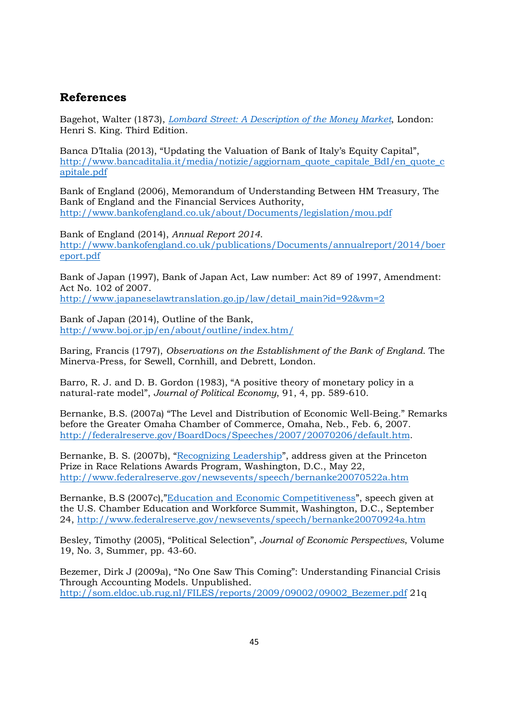## **References**

Bagehot, Walter (1873), *Lombard Street: A Description of the Money Market*, London: Henri S. King. Third Edition.

Banca D'Italia (2013), "Updating the Valuation of Bank of Italy's Equity Capital", http://www.bancaditalia.it/media/notizie/aggiornam\_quote\_capitale\_BdI/en\_quote\_c apitale.pdf

Bank of England (2006), Memorandum of Understanding Between HM Treasury, The Bank of England and the Financial Services Authority, http://www.bankofengland.co.uk/about/Documents/legislation/mou.pdf

Bank of England (2014), *Annual Report 2014*. http://www.bankofengland.co.uk/publications/Documents/annualreport/2014/boer eport.pdf

Bank of Japan (1997), Bank of Japan Act, Law number: Act 89 of 1997, Amendment: Act No. 102 of 2007. http://www.japaneselawtranslation.go.jp/law/detail\_main?id=92&vm=2

Bank of Japan (2014), Outline of the Bank, http://www.boj.or.jp/en/about/outline/index.htm/

Baring, Francis (1797), *Observations on the Establishment of the Bank of England.* The Minerva-Press, for Sewell, Cornhill, and Debrett, London.

Barro, R. J. and D. B. Gordon (1983), "A positive theory of monetary policy in a natural-rate model", *Journal of Political Economy*, 91, 4, pp. 589-610.

Bernanke, B.S. (2007a) "The Level and Distribution of Economic Well-Being." Remarks before the Greater Omaha Chamber of Commerce, Omaha, Neb., Feb. 6, 2007. http://federalreserve.gov/BoardDocs/Speeches/2007/20070206/default.htm.

Bernanke, B. S. (2007b), "Recognizing Leadership", address given at the Princeton Prize in Race Relations Awards Program, Washington, D.C., May 22, http://www.federalreserve.gov/newsevents/speech/bernanke20070522a.htm

Bernanke, B.S (2007c),"Education and Economic Competitiveness", speech given at the U.S. Chamber Education and Workforce Summit, Washington, D.C., September 24, http://www.federalreserve.gov/newsevents/speech/bernanke20070924a.htm

Besley, Timothy (2005), "Political Selection", *Journal of Economic Perspectives*, Volume 19, No. 3, Summer, pp. 43-60.

Bezemer, Dirk J (2009a), "No One Saw This Coming": Understanding Financial Crisis Through Accounting Models. Unpublished. http://som.eldoc.ub.rug.nl/FILES/reports/2009/09002/09002\_Bezemer.pdf 21q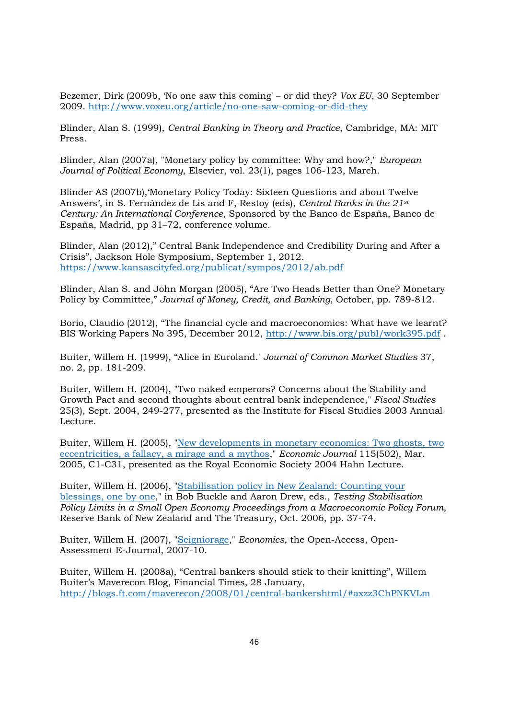Bezemer, Dirk (2009b, 'No one saw this coming' – or did they? *Vox EU*, 30 September 2009. http://www.voxeu.org/article/no-one-saw-coming-or-did-they

Blinder, Alan S. (1999), *Central Banking in Theory and Practice*, Cambridge, MA: MIT Press.

Blinder, Alan (2007a), "Monetary policy by committee: Why and how?," *European Journal of Political Economy*, Elsevier, vol. 23(1), pages 106-123, March.

Blinder AS (2007b),'Monetary Policy Today: Sixteen Questions and about Twelve Answers', in S. Fernández de Lis and F, Restoy (eds), *Central Banks in the 21st Century: An International Conference*, Sponsored by the Banco de España, Banco de España, Madrid, pp 31–72, conference volume.

Blinder, Alan (2012)," Central Bank Independence and Credibility During and After a Crisis", Jackson Hole Symposium, September 1, 2012. https://www.kansascityfed.org/publicat/sympos/2012/ab.pdf

Blinder, Alan S. and John Morgan (2005), "Are Two Heads Better than One? Monetary Policy by Committee," *Journal of Money, Credit, and Banking*, October, pp. 789-812.

Borio, Claudio (2012), "The financial cycle and macroeconomics: What have we learnt? BIS Working Papers No 395, December 2012, http://www.bis.org/publ/work395.pdf .

Buiter, Willem H. (1999), "Alice in Euroland.' *Journal of Common Market Studies* 37, no. 2, pp. 181-209.

Buiter, Willem H. (2004), "Two naked emperors? Concerns about the Stability and Growth Pact and second thoughts about central bank independence," *Fiscal Studies* 25(3), Sept. 2004, 249-277, presented as the Institute for Fiscal Studies 2003 Annual Lecture.

Buiter, Willem H. (2005), "New developments in monetary economics: Two ghosts, two eccentricities, a fallacy, a mirage and a mythos," *Economic Journal* 115(502), Mar. 2005, C1-C31, presented as the Royal Economic Society 2004 Hahn Lecture.

Buiter, Willem H. (2006), "Stabilisation policy in New Zealand: Counting your blessings, one by one," in Bob Buckle and Aaron Drew, eds., *Testing Stabilisation Policy Limits in a Small Open Economy Proceedings from a Macroeconomic Policy Forum*, Reserve Bank of New Zealand and The Treasury, Oct. 2006, pp. 37-74.

Buiter, Willem H. (2007), "Seigniorage," *Economics*, the Open-Access, Open-Assessment E-Journal, 2007-10.

Buiter, Willem H. (2008a), "Central bankers should stick to their knitting", Willem Buiter's Maverecon Blog, Financial Times, 28 January, http://blogs.ft.com/maverecon/2008/01/central-bankershtml/#axzz3ChPNKVLm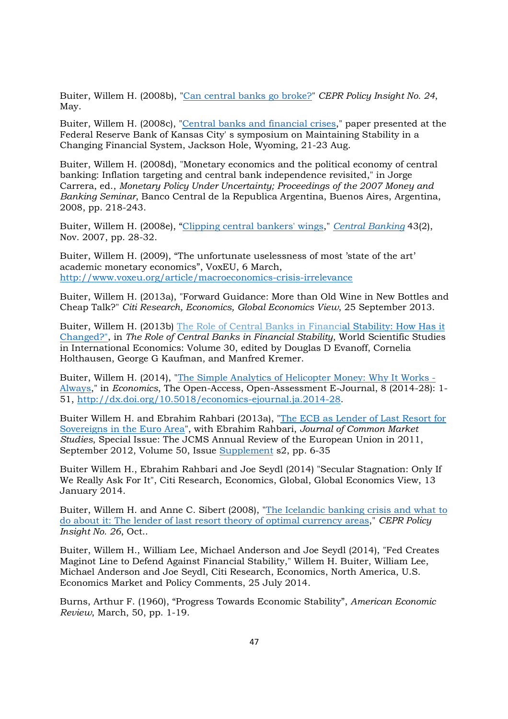Buiter, Willem H. (2008b), "Can central banks go broke?" *CEPR Policy Insight No. 24*, May.

Buiter, Willem H. (2008c), "Central banks and financial crises," paper presented at the Federal Reserve Bank of Kansas City' s symposium on Maintaining Stability in a Changing Financial System, Jackson Hole, Wyoming, 21-23 Aug.

Buiter, Willem H. (2008d), "Monetary economics and the political economy of central banking: Inflation targeting and central bank independence revisited," in Jorge Carrera, ed., *Monetary Policy Under Uncertainty; Proceedings of the 2007 Money and Banking Seminar*, Banco Central de la Republica Argentina, Buenos Aires, Argentina, 2008, pp. 218-243.

Buiter, Willem H. (2008e), "Clipping central bankers' wings," *Central Banking* 43(2), Nov. 2007, pp. 28-32.

Buiter, Willem H. (2009), "The unfortunate uselessness of most 'state of the art' academic monetary economics", VoxEU, 6 March, http://www.voxeu.org/article/macroeconomics-crisis-irrelevance

Buiter, Willem H. (2013a), "Forward Guidance: More than Old Wine in New Bottles and Cheap Talk?" *Citi Research, Economics, Global Economics View*, 25 September 2013.

Buiter, Willem H. (2013b) The Role of Central Banks in Financial Stability: How Has it Changed?", in *The Role of Central Banks in Financial Stability*, World Scientific Studies in International Economics: Volume 30, edited by Douglas D Evanoff, Cornelia Holthausen, George G Kaufman, and Manfred Kremer.

Buiter, Willem H. (2014), "The Simple Analytics of Helicopter Money: Why It Works - Always," in *Economics*, The Open-Access, Open-Assessment E-Journal, 8 (2014-28): 1- 51, http://dx.doi.org/10.5018/economics-ejournal.ja.2014-28.

Buiter Willem H. and Ebrahim Rahbari (2013a), "The ECB as Lender of Last Resort for Sovereigns in the Euro Area", with Ebrahim Rahbari, *Journal of Common Market Studies*, Special Issue: The JCMS Annual Review of the European Union in 2011, September 2012, Volume 50, Issue Supplement s2, pp. 6-35

Buiter Willem H., Ebrahim Rahbari and Joe Seydl (2014) "Secular Stagnation: Only If We Really Ask For It", Citi Research, Economics, Global, Global Economics View, 13 January 2014.

Buiter, Willem H. and Anne C. Sibert (2008), "The Icelandic banking crisis and what to do about it: The lender of last resort theory of optimal currency areas," *CEPR Policy Insight No. 26*, Oct..

Buiter, Willem H., William Lee, Michael Anderson and Joe Seydl (2014), "Fed Creates Maginot Line to Defend Against Financial Stability," Willem H. Buiter, William Lee, Michael Anderson and Joe Seydl, Citi Research, Economics, North America, U.S. Economics Market and Policy Comments, 25 July 2014.

Burns, Arthur F. (1960), "Progress Towards Economic Stability", *American Economic Review*, March, 50, pp. 1-19.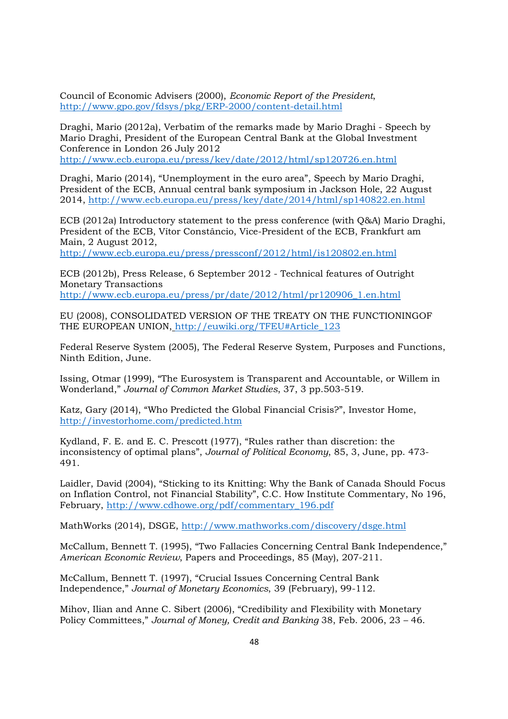Council of Economic Advisers (2000), *Economic Report of the President*, http://www.gpo.gov/fdsys/pkg/ERP-2000/content-detail.html

Draghi, Mario (2012a), Verbatim of the remarks made by Mario Draghi - Speech by Mario Draghi, President of the European Central Bank at the Global Investment Conference in London 26 July 2012 http://www.ecb.europa.eu/press/key/date/2012/html/sp120726.en.html

Draghi, Mario (2014), "Unemployment in the euro area", Speech by Mario Draghi, President of the ECB, Annual central bank symposium in Jackson Hole, 22 August 2014, http://www.ecb.europa.eu/press/key/date/2014/html/sp140822.en.html

ECB (2012a) Introductory statement to the press conference (with Q&A) Mario Draghi, President of the ECB, Vítor Constâncio, Vice-President of the ECB, Frankfurt am Main, 2 August 2012,

http://www.ecb.europa.eu/press/pressconf/2012/html/is120802.en.html

ECB (2012b), Press Release, 6 September 2012 - Technical features of Outright Monetary Transactions

http://www.ecb.europa.eu/press/pr/date/2012/html/pr120906\_1.en.html

EU (2008), CONSOLIDATED VERSION OF THE TREATY ON THE FUNCTIONINGOF THE EUROPEAN UNION, http://euwiki.org/TFEU#Article\_123

Federal Reserve System (2005), The Federal Reserve System, Purposes and Functions, Ninth Edition, June.

Issing, Otmar (1999), "The Eurosystem is Transparent and Accountable, or Willem in Wonderland," *Journal of Common Market Studies*, 37, 3 pp.503-519.

Katz, Gary (2014), "Who Predicted the Global Financial Crisis?", Investor Home, http://investorhome.com/predicted.htm

Kydland, F. E. and E. C. Prescott (1977), "Rules rather than discretion: the inconsistency of optimal plans", *Journal of Political Economy*, 85, 3, June, pp. 473- 491.

Laidler, David (2004), "Sticking to its Knitting: Why the Bank of Canada Should Focus on Inflation Control, not Financial Stability", C.C. How Institute Commentary, No 196, February, http://www.cdhowe.org/pdf/commentary\_196.pdf

MathWorks (2014), DSGE, http://www.mathworks.com/discovery/dsge.html

McCallum, Bennett T. (1995), "Two Fallacies Concerning Central Bank Independence," *American Economic Review*, Papers and Proceedings, 85 (May), 207-211.

McCallum, Bennett T. (1997), "Crucial Issues Concerning Central Bank Independence," *Journal of Monetary Economics*, 39 (February), 99-112.

Mihov, Ilian and Anne C. Sibert (2006), "Credibility and Flexibility with Monetary Policy Committees," *Journal of Money, Credit and Banking* 38, Feb. 2006, 23 – 46.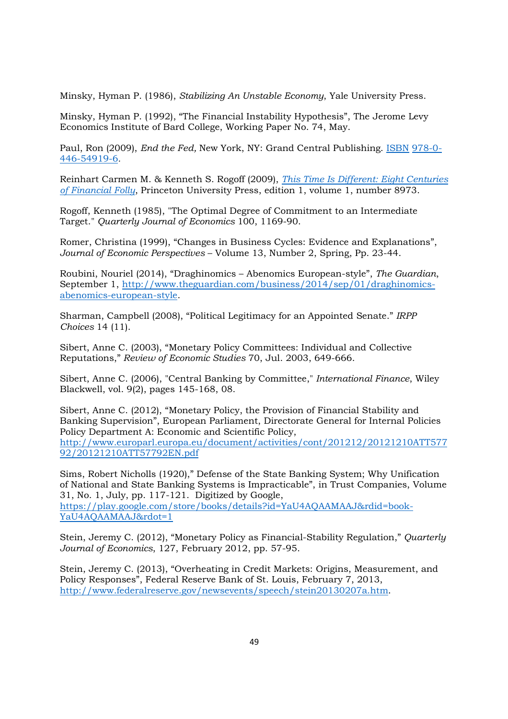Minsky, Hyman P. (1986), *Stabilizing An Unstable Economy*, Yale University Press.

Minsky, Hyman P. (1992), "The Financial Instability Hypothesis", The Jerome Levy Economics Institute of Bard College, Working Paper No. 74, May.

Paul, Ron (2009), *End the Fed,* New York, NY: Grand Central Publishing. ISBN 978-0- 446-54919-6*.*

Reinhart Carmen M. & Kenneth S. Rogoff (2009), *This Time Is Different: Eight Centuries of Financial Folly*, Princeton University Press, edition 1, volume 1, number 8973.

Rogoff, Kenneth (1985), "The Optimal Degree of Commitment to an Intermediate Target." *Quarterly Journal of Economics* 100, 1169-90.

Romer, Christina (1999), "Changes in Business Cycles: Evidence and Explanations", *Journal of Economic Perspectives* – Volume 13, Number 2, Spring, Pp. 23-44.

Roubini, Nouriel (2014), "Draghinomics – Abenomics European-style", *The Guardian*, September 1, http://www.theguardian.com/business/2014/sep/01/draghinomicsabenomics-european-style.

Sharman, Campbell (2008), "Political Legitimacy for an Appointed Senate." *IRPP Choices* 14 (11).

Sibert, Anne C. (2003), "Monetary Policy Committees: Individual and Collective Reputations," *Review of Economic Studies* 70, Jul. 2003, 649-666.

Sibert, Anne C. (2006), "Central Banking by Committee," *International Finance*, Wiley Blackwell, vol. 9(2), pages 145-168, 08.

Sibert, Anne C. (2012), "Monetary Policy, the Provision of Financial Stability and Banking Supervision", European Parliament, Directorate General for Internal Policies Policy Department A: Economic and Scientific Policy, http://www.europarl.europa.eu/document/activities/cont/201212/20121210ATT577 92/20121210ATT57792EN.pdf

Sims, Robert Nicholls (1920)," Defense of the State Banking System; Why Unification of National and State Banking Systems is Impracticable", in Trust Companies, Volume 31, No. 1, July, pp. 117-121. Digitized by Google, https://play.google.com/store/books/details?id=YaU4AQAAMAAJ&rdid=book-YaU4AQAAMAAJ&rdot=1

Stein, Jeremy C. (2012), "Monetary Policy as Financial-Stability Regulation," *Quarterly Journal of Economics*, 127, February 2012, pp. 57-95.

Stein, Jeremy C. (2013), "Overheating in Credit Markets: Origins, Measurement, and Policy Responses", Federal Reserve Bank of St. Louis, February 7, 2013, http://www.federalreserve.gov/newsevents/speech/stein20130207a.htm.